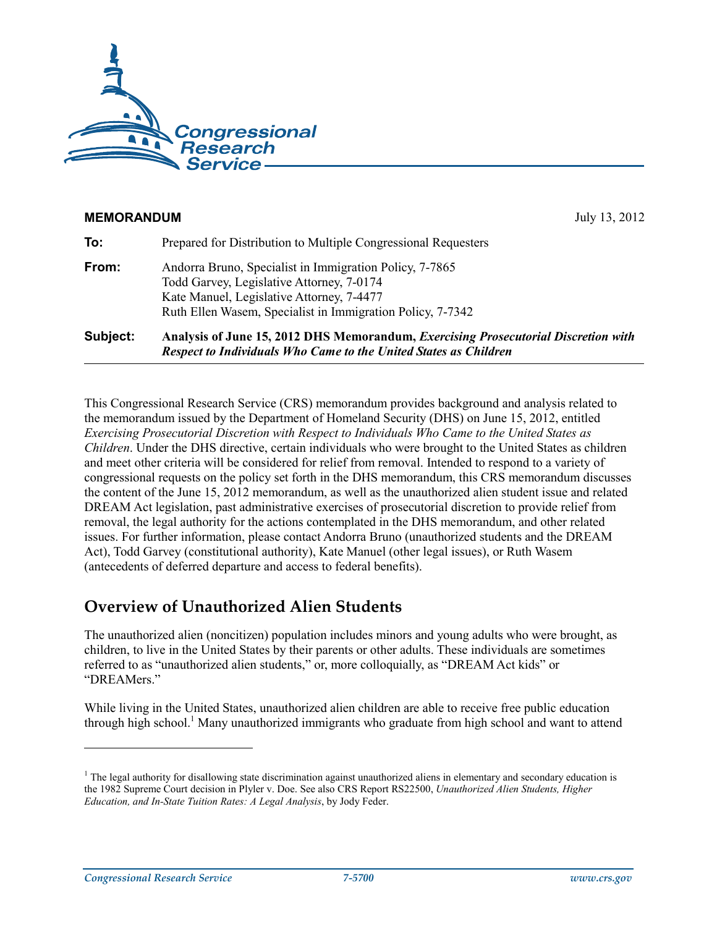

# **MEMORANDUM** July 13, 2012 **To:** Prepared for Distribution to Multiple Congressional Requesters **From:** Andorra Bruno, Specialist in Immigration Policy, 7-7865 Todd Garvey, Legislative Attorney, 7-0174 Kate Manuel, Legislative Attorney, 7-4477 Ruth Ellen Wasem, Specialist in Immigration Policy, 7-7342 **Subject: Analysis of June 15, 2012 DHS Memorandum,** *Exercising Prosecutorial Discretion with Respect to Individuals Who Came to the United States as Children*

This Congressional Research Service (CRS) memorandum provides background and analysis related to the memorandum issued by the Department of Homeland Security (DHS) on June 15, 2012, entitled *Exercising Prosecutorial Discretion with Respect to Individuals Who Came to the United States as Children*. Under the DHS directive, certain individuals who were brought to the United States as children and meet other criteria will be considered for relief from removal. Intended to respond to a variety of congressional requests on the policy set forth in the DHS memorandum, this CRS memorandum discusses the content of the June 15, 2012 memorandum, as well as the unauthorized alien student issue and related DREAM Act legislation, past administrative exercises of prosecutorial discretion to provide relief from removal, the legal authority for the actions contemplated in the DHS memorandum, and other related issues. For further information, please contact Andorra Bruno (unauthorized students and the DREAM Act), Todd Garvey (constitutional authority), Kate Manuel (other legal issues), or Ruth Wasem (antecedents of deferred departure and access to federal benefits).

# **Overview of Unauthorized Alien Students**

The unauthorized alien (noncitizen) population includes minors and young adults who were brought, as children, to live in the United States by their parents or other adults. These individuals are sometimes referred to as "unauthorized alien students," or, more colloquially, as "DREAM Act kids" or "DREAMers."

While living in the United States, unauthorized alien children are able to receive free public education through high school.<sup>1</sup> Many unauthorized immigrants who graduate from high school and want to attend

<u>.</u>

 $<sup>1</sup>$  The legal authority for disallowing state discrimination against unauthorized aliens in elementary and secondary education is</sup> the 1982 Supreme Court decision in Plyler v. Doe. See also CRS Report RS22500, *Unauthorized Alien Students, Higher Education, and In-State Tuition Rates: A Legal Analysis*, by Jody Feder.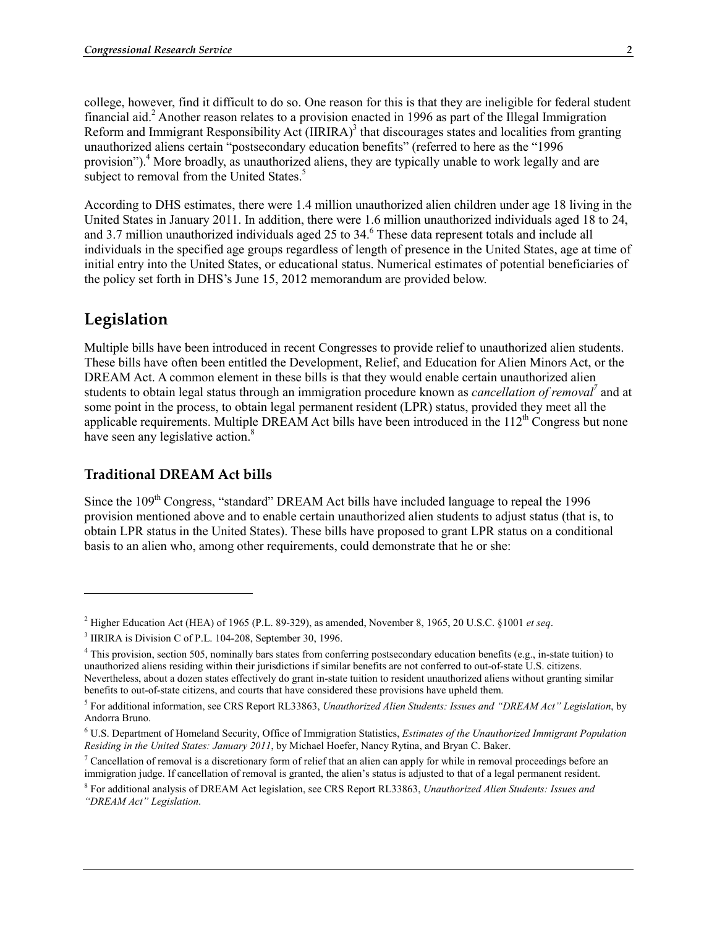college, however, find it difficult to do so. One reason for this is that they are ineligible for federal student financial aid.<sup>2</sup> Another reason relates to a provision enacted in 1996 as part of the Illegal Immigration Reform and Immigrant Responsibility Act (IIRIRA)<sup>3</sup> that discourages states and localities from granting unauthorized aliens certain "postsecondary education benefits" (referred to here as the "1996 provision").<sup>4</sup> More broadly, as unauthorized aliens, they are typically unable to work legally and are subject to removal from the United States.<sup>5</sup>

According to DHS estimates, there were 1.4 million unauthorized alien children under age 18 living in the United States in January 2011. In addition, there were 1.6 million unauthorized individuals aged 18 to 24, and 3.7 million unauthorized individuals aged 25 to 34.<sup>6</sup> These data represent totals and include all individuals in the specified age groups regardless of length of presence in the United States, age at time of initial entry into the United States, or educational status. Numerical estimates of potential beneficiaries of the policy set forth in DHS's June 15, 2012 memorandum are provided below.

# **Legislation**

1

Multiple bills have been introduced in recent Congresses to provide relief to unauthorized alien students. These bills have often been entitled the Development, Relief, and Education for Alien Minors Act, or the DREAM Act. A common element in these bills is that they would enable certain unauthorized alien students to obtain legal status through an immigration procedure known as *cancellation of removal*<sup>7</sup> and at some point in the process, to obtain legal permanent resident (LPR) status, provided they meet all the applicable requirements. Multiple DREAM Act bills have been introduced in the  $112<sup>th</sup>$  Congress but none have seen any legislative action.<sup>8</sup>

#### **Traditional DREAM Act bills**

Since the 109<sup>th</sup> Congress, "standard" DREAM Act bills have included language to repeal the 1996 provision mentioned above and to enable certain unauthorized alien students to adjust status (that is, to obtain LPR status in the United States). These bills have proposed to grant LPR status on a conditional basis to an alien who, among other requirements, could demonstrate that he or she:

<sup>2</sup> Higher Education Act (HEA) of 1965 (P.L. 89-329), as amended, November 8, 1965, 20 U.S.C. §1001 *et seq*.

<sup>&</sup>lt;sup>3</sup> IIRIRA is Division C of P.L. 104-208, September 30, 1996.

<sup>&</sup>lt;sup>4</sup> This provision, section 505, nominally bars states from conferring postsecondary education benefits (e.g., in-state tuition) to unauthorized aliens residing within their jurisdictions if similar benefits are not conferred to out-of-state U.S. citizens. Nevertheless, about a dozen states effectively do grant in-state tuition to resident unauthorized aliens without granting similar benefits to out-of-state citizens, and courts that have considered these provisions have upheld them.

<sup>5</sup> For additional information, see CRS Report RL33863, *Unauthorized Alien Students: Issues and "DREAM Act" Legislation*, by Andorra Bruno.

<sup>6</sup> U.S. Department of Homeland Security, Office of Immigration Statistics, *Estimates of the Unauthorized Immigrant Population Residing in the United States: January 2011*, by Michael Hoefer, Nancy Rytina, and Bryan C. Baker.

<sup>&</sup>lt;sup>7</sup> Cancellation of removal is a discretionary form of relief that an alien can apply for while in removal proceedings before an immigration judge. If cancellation of removal is granted, the alien's status is adjusted to that of a legal permanent resident.

<sup>8</sup> For additional analysis of DREAM Act legislation, see CRS Report RL33863, *Unauthorized Alien Students: Issues and "DREAM Act" Legislation*.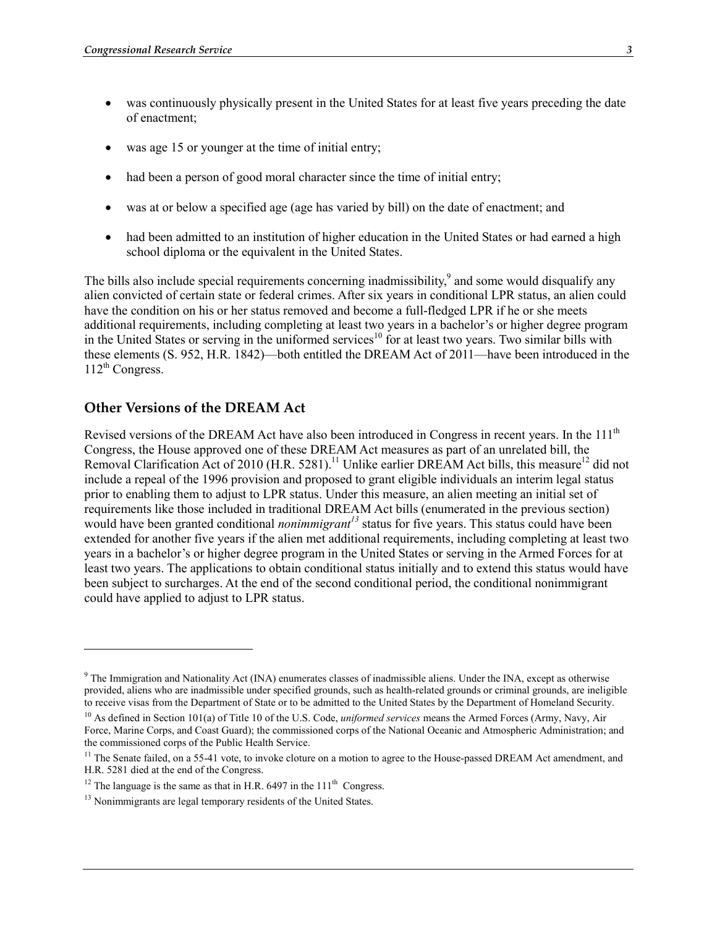- was continuously physically present in the United States for at least five years preceding the date of enactment;
- was age 15 or younger at the time of initial entry;
- had been a person of good moral character since the time of initial entry;
- was at or below a specified age (age has varied by bill) on the date of enactment; and
- had been admitted to an institution of higher education in the United States or had earned a high school diploma or the equivalent in the United States.

The bills also include special requirements concerning inadmissibility,<sup>9</sup> and some would disqualify any alien convicted of certain state or federal crimes. After six years in conditional LPR status, an alien could have the condition on his or her status removed and become a full-fledged LPR if he or she meets additional requirements, including completing at least two years in a bachelor's or higher degree program in the United States or serving in the uniformed services<sup>10</sup> for at least two years. Two similar bills with these elements (S. 952, H.R. 1842)—both entitled the DREAM Act of 2011—have been introduced in the  $112^{th}$  Congress.

## **Other Versions of the DREAM Act**

1

Revised versions of the DREAM Act have also been introduced in Congress in recent years. In the  $111<sup>th</sup>$ Congress, the House approved one of these DREAM Act measures as part of an unrelated bill, the Removal Clarification Act of 2010 (H.R. 5281).<sup>11</sup> Unlike earlier DREAM Act bills, this measure<sup>12</sup> did not include a repeal of the 1996 provision and proposed to grant eligible individuals an interim legal status prior to enabling them to adjust to LPR status. Under this measure, an alien meeting an initial set of requirements like those included in traditional DREAM Act bills (enumerated in the previous section) would have been granted conditional *nonimmigrant*<sup>13</sup> status for five years. This status could have been extended for another five years if the alien met additional requirements, including completing at least two years in a bachelor's or higher degree program in the United States or serving in the Armed Forces for at least two years. The applications to obtain conditional status initially and to extend this status would have been subject to surcharges. At the end of the second conditional period, the conditional nonimmigrant could have applied to adjust to LPR status.

<sup>&</sup>lt;sup>9</sup> The Immigration and Nationality Act (INA) enumerates classes of inadmissible aliens. Under the INA, except as otherwise provided, aliens who are inadmissible under specified grounds, such as health-related grounds or criminal grounds, are ineligible to receive visas from the Department of State or to be admitted to the United States by the Department of Homeland Security.

<sup>&</sup>lt;sup>10</sup> As defined in Section 101(a) of Title 10 of the U.S. Code, *uniformed services* means the Armed Forces (Army, Navy, Air Force, Marine Corps, and Coast Guard); the commissioned corps of the National Oceanic and Atmospheric Administration; and the commissioned corps of the Public Health Service.

<sup>&</sup>lt;sup>11</sup> The Senate failed, on a 55-41 vote, to invoke cloture on a motion to agree to the House-passed DREAM Act amendment, and H.R. 5281 died at the end of the Congress.

<sup>&</sup>lt;sup>12</sup> The language is the same as that in H.R.  $6497$  in the  $111<sup>th</sup>$  Congress.

 $13$  Nonimmigrants are legal temporary residents of the United States.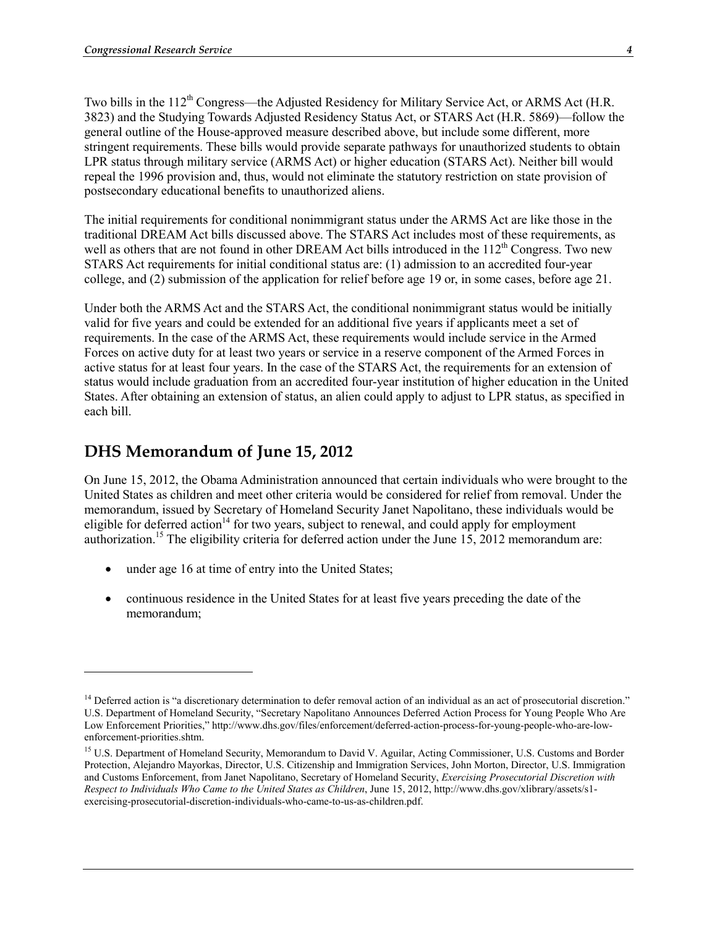Two bills in the 112<sup>th</sup> Congress—the Adjusted Residency for Military Service Act, or ARMS Act (H.R. 3823) and the Studying Towards Adjusted Residency Status Act, or STARS Act (H.R. 5869)—follow the general outline of the House-approved measure described above, but include some different, more stringent requirements. These bills would provide separate pathways for unauthorized students to obtain LPR status through military service (ARMS Act) or higher education (STARS Act). Neither bill would repeal the 1996 provision and, thus, would not eliminate the statutory restriction on state provision of postsecondary educational benefits to unauthorized aliens.

The initial requirements for conditional nonimmigrant status under the ARMS Act are like those in the traditional DREAM Act bills discussed above. The STARS Act includes most of these requirements, as well as others that are not found in other DREAM Act bills introduced in the 112<sup>th</sup> Congress. Two new STARS Act requirements for initial conditional status are: (1) admission to an accredited four-year college, and (2) submission of the application for relief before age 19 or, in some cases, before age 21.

Under both the ARMS Act and the STARS Act, the conditional nonimmigrant status would be initially valid for five years and could be extended for an additional five years if applicants meet a set of requirements. In the case of the ARMS Act, these requirements would include service in the Armed Forces on active duty for at least two years or service in a reserve component of the Armed Forces in active status for at least four years. In the case of the STARS Act, the requirements for an extension of status would include graduation from an accredited four-year institution of higher education in the United States. After obtaining an extension of status, an alien could apply to adjust to LPR status, as specified in each bill.

# **DHS Memorandum of June 15, 2012**

1

On June 15, 2012, the Obama Administration announced that certain individuals who were brought to the United States as children and meet other criteria would be considered for relief from removal. Under the memorandum, issued by Secretary of Homeland Security Janet Napolitano, these individuals would be eligible for deferred action<sup>14</sup> for two years, subject to renewal, and could apply for employment authorization.<sup>15</sup> The eligibility criteria for deferred action under the June  $15, 2012$  memorandum are:

- under age 16 at time of entry into the United States;
- continuous residence in the United States for at least five years preceding the date of the memorandum;

<sup>&</sup>lt;sup>14</sup> Deferred action is "a discretionary determination to defer removal action of an individual as an act of prosecutorial discretion." U.S. Department of Homeland Security, "Secretary Napolitano Announces Deferred Action Process for Young People Who Are Low Enforcement Priorities," http://www.dhs.gov/files/enforcement/deferred-action-process-for-young-people-who-are-lowenforcement-priorities.shtm.

<sup>&</sup>lt;sup>15</sup> U.S. Department of Homeland Security, Memorandum to David V. Aguilar, Acting Commissioner, U.S. Customs and Border Protection, Alejandro Mayorkas, Director, U.S. Citizenship and Immigration Services, John Morton, Director, U.S. Immigration and Customs Enforcement, from Janet Napolitano, Secretary of Homeland Security, *Exercising Prosecutorial Discretion with Respect to Individuals Who Came to the United States as Children*, June 15, 2012, http://www.dhs.gov/xlibrary/assets/s1 exercising-prosecutorial-discretion-individuals-who-came-to-us-as-children.pdf.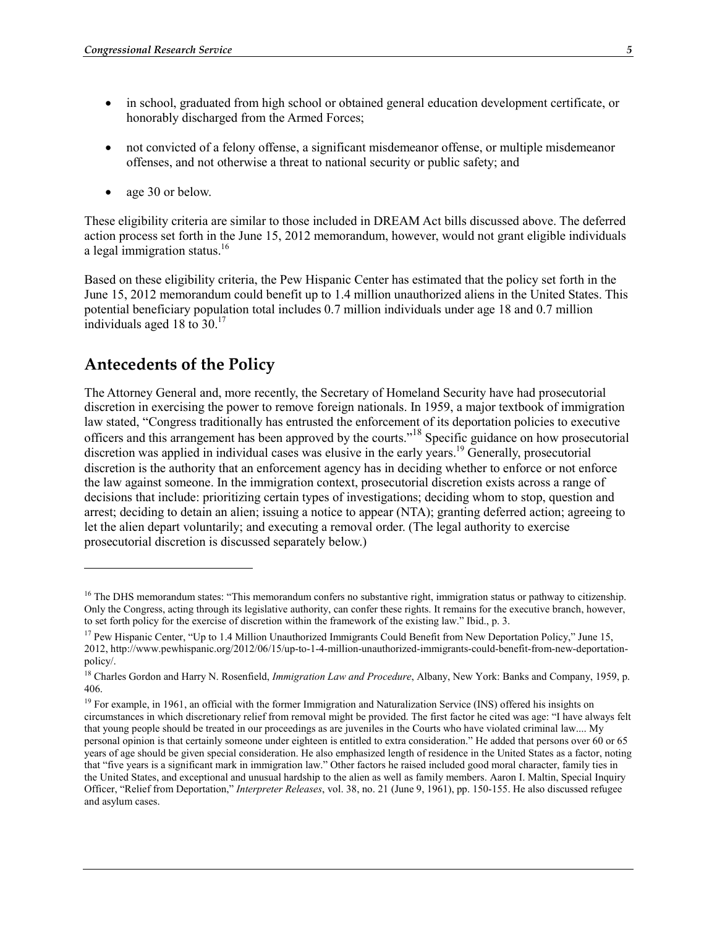- in school, graduated from high school or obtained general education development certificate, or honorably discharged from the Armed Forces;
- not convicted of a felony offense, a significant misdemeanor offense, or multiple misdemeanor offenses, and not otherwise a threat to national security or public safety; and
- age 30 or below.

These eligibility criteria are similar to those included in DREAM Act bills discussed above. The deferred action process set forth in the June 15, 2012 memorandum, however, would not grant eligible individuals a legal immigration status. $16$ 

Based on these eligibility criteria, the Pew Hispanic Center has estimated that the policy set forth in the June 15, 2012 memorandum could benefit up to 1.4 million unauthorized aliens in the United States. This potential beneficiary population total includes 0.7 million individuals under age 18 and 0.7 million individuals aged 18 to  $30<sup>17</sup>$ 

# **Antecedents of the Policy**

<u>.</u>

The Attorney General and, more recently, the Secretary of Homeland Security have had prosecutorial discretion in exercising the power to remove foreign nationals. In 1959, a major textbook of immigration law stated, "Congress traditionally has entrusted the enforcement of its deportation policies to executive officers and this arrangement has been approved by the courts."18 Specific guidance on how prosecutorial discretion was applied in individual cases was elusive in the early years.<sup>19</sup> Generally, prosecutorial discretion is the authority that an enforcement agency has in deciding whether to enforce or not enforce the law against someone. In the immigration context, prosecutorial discretion exists across a range of decisions that include: prioritizing certain types of investigations; deciding whom to stop, question and arrest; deciding to detain an alien; issuing a notice to appear (NTA); granting deferred action; agreeing to let the alien depart voluntarily; and executing a removal order. (The legal authority to exercise prosecutorial discretion is discussed separately below.)

<sup>&</sup>lt;sup>16</sup> The DHS memorandum states: "This memorandum confers no substantive right, immigration status or pathway to citizenship. Only the Congress, acting through its legislative authority, can confer these rights. It remains for the executive branch, however, to set forth policy for the exercise of discretion within the framework of the existing law." Ibid., p. 3.

<sup>&</sup>lt;sup>17</sup> Pew Hispanic Center, "Up to 1.4 Million Unauthorized Immigrants Could Benefit from New Deportation Policy," June 15, 2012, http://www.pewhispanic.org/2012/06/15/up-to-1-4-million-unauthorized-immigrants-could-benefit-from-new-deportationpolicy/.

<sup>&</sup>lt;sup>18</sup> Charles Gordon and Harry N. Rosenfield, *Immigration Law and Procedure*, Albany, New York: Banks and Company, 1959, p. 406.

<sup>&</sup>lt;sup>19</sup> For example, in 1961, an official with the former Immigration and Naturalization Service (INS) offered his insights on circumstances in which discretionary relief from removal might be provided. The first factor he cited was age: "I have always felt that young people should be treated in our proceedings as are juveniles in the Courts who have violated criminal law.... My personal opinion is that certainly someone under eighteen is entitled to extra consideration." He added that persons over 60 or 65 years of age should be given special consideration. He also emphasized length of residence in the United States as a factor, noting that "five years is a significant mark in immigration law." Other factors he raised included good moral character, family ties in the United States, and exceptional and unusual hardship to the alien as well as family members. Aaron I. Maltin, Special Inquiry Officer, "Relief from Deportation," *Interpreter Releases*, vol. 38, no. 21 (June 9, 1961), pp. 150-155. He also discussed refugee and asylum cases.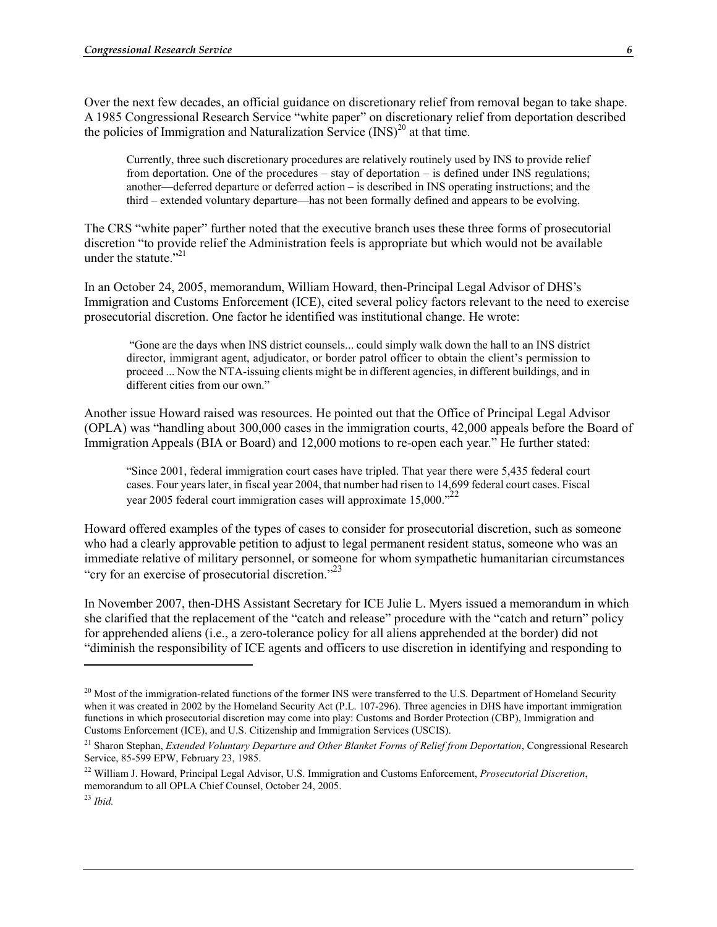Over the next few decades, an official guidance on discretionary relief from removal began to take shape. A 1985 Congressional Research Service "white paper" on discretionary relief from deportation described the policies of Immigration and Naturalization Service  $(INS)^{20}$  at that time.

Currently, three such discretionary procedures are relatively routinely used by INS to provide relief from deportation. One of the procedures – stay of deportation – is defined under INS regulations; another—deferred departure or deferred action – is described in INS operating instructions; and the third – extended voluntary departure—has not been formally defined and appears to be evolving.

The CRS "white paper" further noted that the executive branch uses these three forms of prosecutorial discretion "to provide relief the Administration feels is appropriate but which would not be available under the statute."<sup>21</sup>

In an October 24, 2005, memorandum, William Howard, then-Principal Legal Advisor of DHS's Immigration and Customs Enforcement (ICE), cited several policy factors relevant to the need to exercise prosecutorial discretion. One factor he identified was institutional change. He wrote:

 "Gone are the days when INS district counsels... could simply walk down the hall to an INS district director, immigrant agent, adjudicator, or border patrol officer to obtain the client's permission to proceed ... Now the NTA-issuing clients might be in different agencies, in different buildings, and in different cities from our own."

Another issue Howard raised was resources. He pointed out that the Office of Principal Legal Advisor (OPLA) was "handling about 300,000 cases in the immigration courts, 42,000 appeals before the Board of Immigration Appeals (BIA or Board) and 12,000 motions to re-open each year." He further stated:

"Since 2001, federal immigration court cases have tripled. That year there were 5,435 federal court cases. Four years later, in fiscal year 2004, that number had risen to 14,699 federal court cases. Fiscal year 2005 federal court immigration cases will approximate  $15,000.^{22}$ 

Howard offered examples of the types of cases to consider for prosecutorial discretion, such as someone who had a clearly approvable petition to adjust to legal permanent resident status, someone who was an immediate relative of military personnel, or someone for whom sympathetic humanitarian circumstances "cry for an exercise of prosecutorial discretion."<sup>23</sup>

In November 2007, then-DHS Assistant Secretary for ICE Julie L. Myers issued a memorandum in which she clarified that the replacement of the "catch and release" procedure with the "catch and return" policy for apprehended aliens (i.e., a zero-tolerance policy for all aliens apprehended at the border) did not "diminish the responsibility of ICE agents and officers to use discretion in identifying and responding to

1

<sup>&</sup>lt;sup>20</sup> Most of the immigration-related functions of the former INS were transferred to the U.S. Department of Homeland Security when it was created in 2002 by the Homeland Security Act (P.L. 107-296). Three agencies in DHS have important immigration functions in which prosecutorial discretion may come into play: Customs and Border Protection (CBP), Immigration and Customs Enforcement (ICE), and U.S. Citizenship and Immigration Services (USCIS).

<sup>&</sup>lt;sup>21</sup> Sharon Stephan, *Extended Voluntary Departure and Other Blanket Forms of Relief from Deportation*, Congressional Research Service, 85-599 EPW, February 23, 1985.

<sup>22</sup> William J. Howard, Principal Legal Advisor, U.S. Immigration and Customs Enforcement, *Prosecutorial Discretion*, memorandum to all OPLA Chief Counsel, October 24, 2005.

<sup>23</sup> *Ibid.*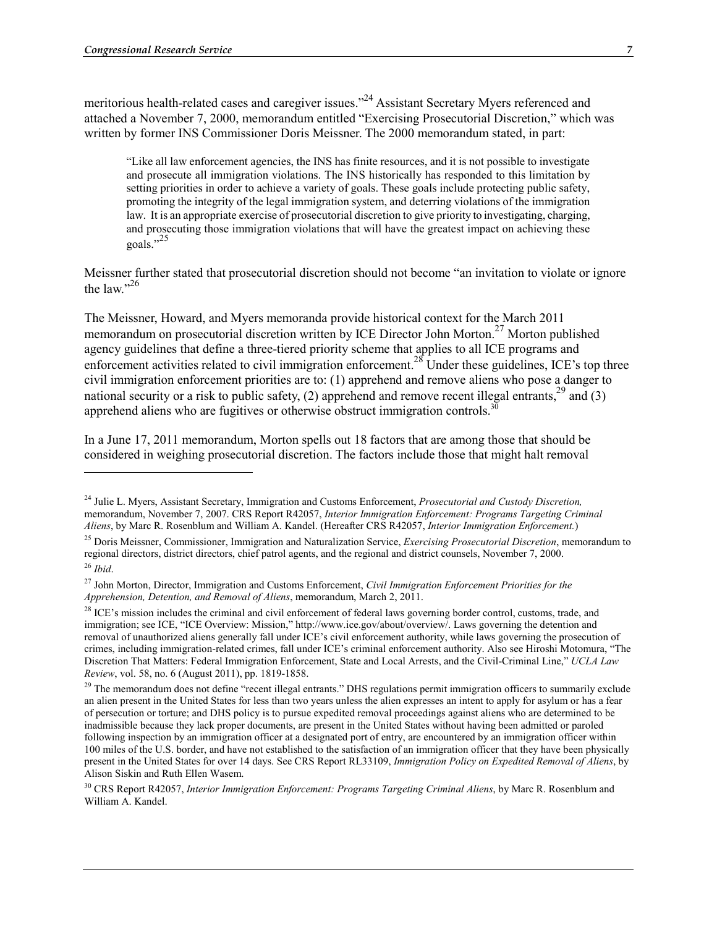1

meritorious health-related cases and caregiver issues."<sup>24</sup> Assistant Secretary Myers referenced and attached a November 7, 2000, memorandum entitled "Exercising Prosecutorial Discretion," which was written by former INS Commissioner Doris Meissner. The 2000 memorandum stated, in part:

"Like all law enforcement agencies, the INS has finite resources, and it is not possible to investigate and prosecute all immigration violations. The INS historically has responded to this limitation by setting priorities in order to achieve a variety of goals. These goals include protecting public safety, promoting the integrity of the legal immigration system, and deterring violations of the immigration law. It is an appropriate exercise of prosecutorial discretion to give priority to investigating, charging, and prosecuting those immigration violations that will have the greatest impact on achieving these goals."<sup>25</sup>

Meissner further stated that prosecutorial discretion should not become "an invitation to violate or ignore the law". $26$ 

The Meissner, Howard, and Myers memoranda provide historical context for the March 2011 memorandum on prosecutorial discretion written by ICE Director John Morton.<sup>27</sup> Morton published agency guidelines that define a three-tiered priority scheme that applies to all ICE programs and enforcement activities related to civil immigration enforcement.<sup>28</sup> Under these guidelines, ICE's top three civil immigration enforcement priorities are to: (1) apprehend and remove aliens who pose a danger to national security or a risk to public safety, (2) apprehend and remove recent illegal entrants,  $^{29}$  and (3) apprehend aliens who are fugitives or otherwise obstruct immigration controls.<sup>3</sup>

In a June 17, 2011 memorandum, Morton spells out 18 factors that are among those that should be considered in weighing prosecutorial discretion. The factors include those that might halt removal

<sup>24</sup> Julie L. Myers, Assistant Secretary, Immigration and Customs Enforcement, *Prosecutorial and Custody Discretion,* memorandum, November 7, 2007. CRS Report R42057, *Interior Immigration Enforcement: Programs Targeting Criminal Aliens*, by Marc R. Rosenblum and William A. Kandel. (Hereafter CRS R42057, *Interior Immigration Enforcement.*)

<sup>25</sup> Doris Meissner, Commissioner, Immigration and Naturalization Service, *Exercising Prosecutorial Discretion*, memorandum to regional directors, district directors, chief patrol agents, and the regional and district counsels, November 7, 2000. <sup>26</sup> *Ibid*.

<sup>27</sup> John Morton, Director, Immigration and Customs Enforcement, *Civil Immigration Enforcement Priorities for the Apprehension, Detention, and Removal of Aliens*, memorandum, March 2, 2011.

<sup>&</sup>lt;sup>28</sup> ICE's mission includes the criminal and civil enforcement of federal laws governing border control, customs, trade, and immigration; see ICE, "ICE Overview: Mission," http://www.ice.gov/about/overview/. Laws governing the detention and removal of unauthorized aliens generally fall under ICE's civil enforcement authority, while laws governing the prosecution of crimes, including immigration-related crimes, fall under ICE's criminal enforcement authority. Also see Hiroshi Motomura, "The Discretion That Matters: Federal Immigration Enforcement, State and Local Arrests, and the Civil-Criminal Line," *UCLA Law Review*, vol. 58, no. 6 (August 2011), pp. 1819-1858.

<sup>&</sup>lt;sup>29</sup> The memorandum does not define "recent illegal entrants." DHS regulations permit immigration officers to summarily exclude an alien present in the United States for less than two years unless the alien expresses an intent to apply for asylum or has a fear of persecution or torture; and DHS policy is to pursue expedited removal proceedings against aliens who are determined to be inadmissible because they lack proper documents, are present in the United States without having been admitted or paroled following inspection by an immigration officer at a designated port of entry, are encountered by an immigration officer within 100 miles of the U.S. border, and have not established to the satisfaction of an immigration officer that they have been physically present in the United States for over 14 days. See CRS Report RL33109, *Immigration Policy on Expedited Removal of Aliens*, by Alison Siskin and Ruth Ellen Wasem.

<sup>30</sup> CRS Report R42057, *Interior Immigration Enforcement: Programs Targeting Criminal Aliens*, by Marc R. Rosenblum and William A. Kandel.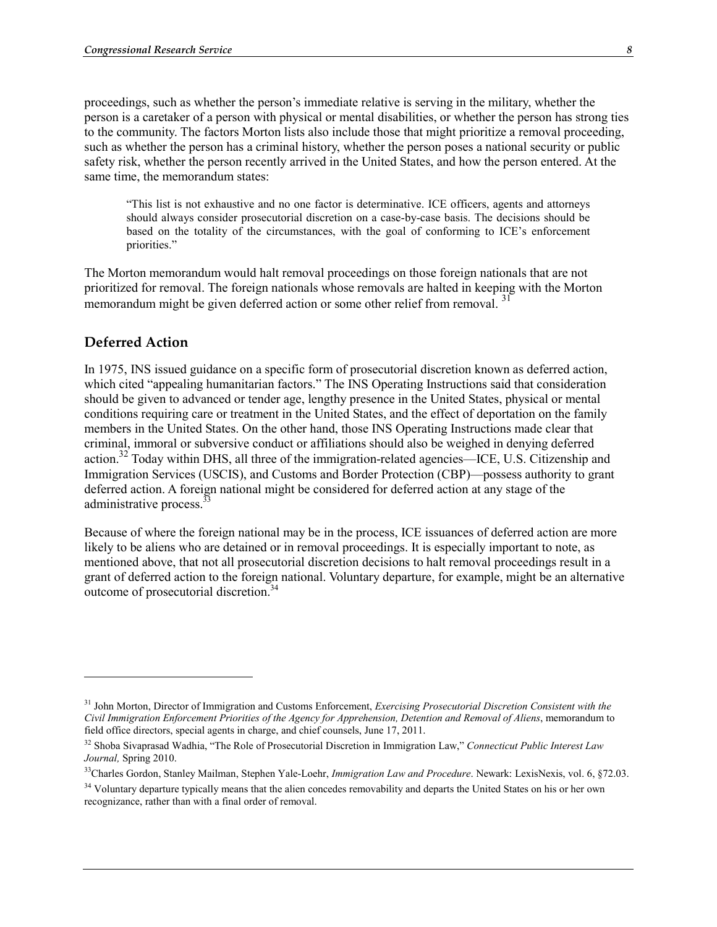proceedings, such as whether the person's immediate relative is serving in the military, whether the person is a caretaker of a person with physical or mental disabilities, or whether the person has strong ties to the community. The factors Morton lists also include those that might prioritize a removal proceeding, such as whether the person has a criminal history, whether the person poses a national security or public safety risk, whether the person recently arrived in the United States, and how the person entered. At the same time, the memorandum states:

"This list is not exhaustive and no one factor is determinative. ICE officers, agents and attorneys should always consider prosecutorial discretion on a case-by-case basis. The decisions should be based on the totality of the circumstances, with the goal of conforming to ICE's enforcement priorities."

The Morton memorandum would halt removal proceedings on those foreign nationals that are not prioritized for removal. The foreign nationals whose removals are halted in keeping with the Morton memorandum might be given deferred action or some other relief from removal.<sup>31</sup>

## **Deferred Action**

1

In 1975, INS issued guidance on a specific form of prosecutorial discretion known as deferred action, which cited "appealing humanitarian factors." The INS Operating Instructions said that consideration should be given to advanced or tender age, lengthy presence in the United States, physical or mental conditions requiring care or treatment in the United States, and the effect of deportation on the family members in the United States. On the other hand, those INS Operating Instructions made clear that criminal, immoral or subversive conduct or affiliations should also be weighed in denying deferred action.<sup>32</sup> Today within DHS, all three of the immigration-related agencies—ICE, U.S. Citizenship and Immigration Services (USCIS), and Customs and Border Protection (CBP)—possess authority to grant deferred action. A foreign national might be considered for deferred action at any stage of the administrative process.  $33$ 

Because of where the foreign national may be in the process, ICE issuances of deferred action are more likely to be aliens who are detained or in removal proceedings. It is especially important to note, as mentioned above, that not all prosecutorial discretion decisions to halt removal proceedings result in a grant of deferred action to the foreign national. Voluntary departure, for example, might be an alternative outcome of prosecutorial discretion.34

<sup>31</sup> John Morton, Director of Immigration and Customs Enforcement, *Exercising Prosecutorial Discretion Consistent with the Civil Immigration Enforcement Priorities of the Agency for Apprehension, Detention and Removal of Aliens*, memorandum to field office directors, special agents in charge, and chief counsels, June 17, 2011.

<sup>32</sup> Shoba Sivaprasad Wadhia, "The Role of Prosecutorial Discretion in Immigration Law," *Connecticut Public Interest Law Journal,* Spring 2010.

<sup>33</sup>Charles Gordon, Stanley Mailman, Stephen Yale-Loehr, *Immigration Law and Procedure*. Newark: LexisNexis, vol. 6, §72.03.

<sup>&</sup>lt;sup>34</sup> Voluntary departure typically means that the alien concedes removability and departs the United States on his or her own recognizance, rather than with a final order of removal.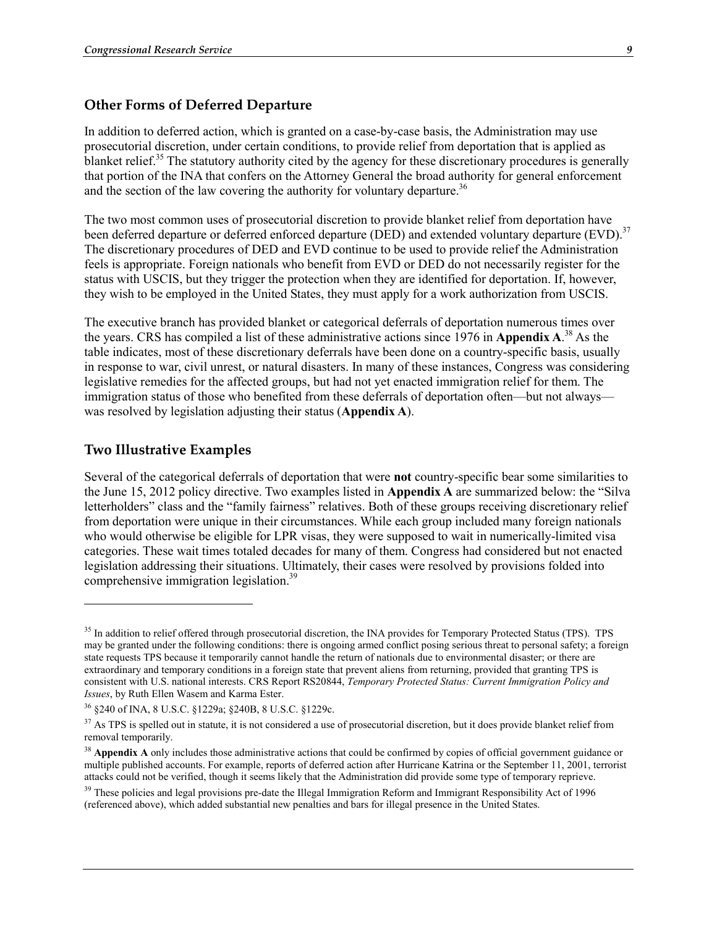#### **Other Forms of Deferred Departure**

In addition to deferred action, which is granted on a case-by-case basis, the Administration may use prosecutorial discretion, under certain conditions, to provide relief from deportation that is applied as blanket relief.<sup>35</sup> The statutory authority cited by the agency for these discretionary procedures is generally that portion of the INA that confers on the Attorney General the broad authority for general enforcement and the section of the law covering the authority for voluntary departure.<sup>36</sup>

The two most common uses of prosecutorial discretion to provide blanket relief from deportation have been deferred departure or deferred enforced departure (DED) and extended voluntary departure (EVD).<sup>37</sup> The discretionary procedures of DED and EVD continue to be used to provide relief the Administration feels is appropriate. Foreign nationals who benefit from EVD or DED do not necessarily register for the status with USCIS, but they trigger the protection when they are identified for deportation. If, however, they wish to be employed in the United States, they must apply for a work authorization from USCIS.

The executive branch has provided blanket or categorical deferrals of deportation numerous times over the years. CRS has compiled a list of these administrative actions since 1976 in **Appendix A**. 38 As the table indicates, most of these discretionary deferrals have been done on a country-specific basis, usually in response to war, civil unrest, or natural disasters. In many of these instances, Congress was considering legislative remedies for the affected groups, but had not yet enacted immigration relief for them. The immigration status of those who benefited from these deferrals of deportation often—but not always was resolved by legislation adjusting their status (**Appendix A**).

#### **Two Illustrative Examples**

<u>.</u>

Several of the categorical deferrals of deportation that were **not** country-specific bear some similarities to the June 15, 2012 policy directive. Two examples listed in **Appendix A** are summarized below: the "Silva letterholders" class and the "family fairness" relatives. Both of these groups receiving discretionary relief from deportation were unique in their circumstances. While each group included many foreign nationals who would otherwise be eligible for LPR visas, they were supposed to wait in numerically-limited visa categories. These wait times totaled decades for many of them. Congress had considered but not enacted legislation addressing their situations. Ultimately, their cases were resolved by provisions folded into comprehensive immigration legislation.39

<sup>&</sup>lt;sup>35</sup> In addition to relief offered through prosecutorial discretion, the INA provides for Temporary Protected Status (TPS). TPS may be granted under the following conditions: there is ongoing armed conflict posing serious threat to personal safety; a foreign state requests TPS because it temporarily cannot handle the return of nationals due to environmental disaster; or there are extraordinary and temporary conditions in a foreign state that prevent aliens from returning, provided that granting TPS is consistent with U.S. national interests. CRS Report RS20844, *Temporary Protected Status: Current Immigration Policy and Issues*, by Ruth Ellen Wasem and Karma Ester.

<sup>36 §240</sup> of INA, 8 U.S.C. §1229a; §240B, 8 U.S.C. §1229c.

<sup>&</sup>lt;sup>37</sup> As TPS is spelled out in statute, it is not considered a use of prosecutorial discretion, but it does provide blanket relief from removal temporarily.

<sup>&</sup>lt;sup>38</sup> Appendix A only includes those administrative actions that could be confirmed by copies of official government guidance or multiple published accounts. For example, reports of deferred action after Hurricane Katrina or the September 11, 2001, terrorist attacks could not be verified, though it seems likely that the Administration did provide some type of temporary reprieve.

<sup>&</sup>lt;sup>39</sup> These policies and legal provisions pre-date the Illegal Immigration Reform and Immigrant Responsibility Act of 1996 (referenced above), which added substantial new penalties and bars for illegal presence in the United States.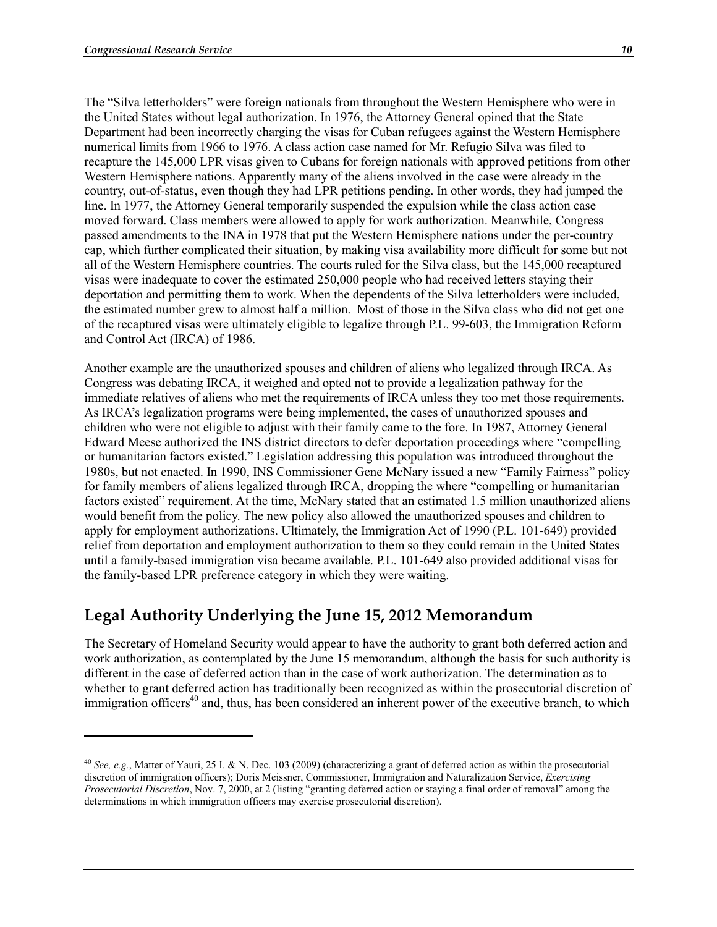1

The "Silva letterholders" were foreign nationals from throughout the Western Hemisphere who were in the United States without legal authorization. In 1976, the Attorney General opined that the State Department had been incorrectly charging the visas for Cuban refugees against the Western Hemisphere numerical limits from 1966 to 1976. A class action case named for Mr. Refugio Silva was filed to recapture the 145,000 LPR visas given to Cubans for foreign nationals with approved petitions from other Western Hemisphere nations. Apparently many of the aliens involved in the case were already in the country, out-of-status, even though they had LPR petitions pending. In other words, they had jumped the line. In 1977, the Attorney General temporarily suspended the expulsion while the class action case moved forward. Class members were allowed to apply for work authorization. Meanwhile, Congress passed amendments to the INA in 1978 that put the Western Hemisphere nations under the per-country cap, which further complicated their situation, by making visa availability more difficult for some but not all of the Western Hemisphere countries. The courts ruled for the Silva class, but the 145,000 recaptured visas were inadequate to cover the estimated 250,000 people who had received letters staying their deportation and permitting them to work. When the dependents of the Silva letterholders were included, the estimated number grew to almost half a million. Most of those in the Silva class who did not get one of the recaptured visas were ultimately eligible to legalize through P.L. 99-603, the Immigration Reform and Control Act (IRCA) of 1986.

Another example are the unauthorized spouses and children of aliens who legalized through IRCA. As Congress was debating IRCA, it weighed and opted not to provide a legalization pathway for the immediate relatives of aliens who met the requirements of IRCA unless they too met those requirements. As IRCA's legalization programs were being implemented, the cases of unauthorized spouses and children who were not eligible to adjust with their family came to the fore. In 1987, Attorney General Edward Meese authorized the INS district directors to defer deportation proceedings where "compelling or humanitarian factors existed." Legislation addressing this population was introduced throughout the 1980s, but not enacted. In 1990, INS Commissioner Gene McNary issued a new "Family Fairness" policy for family members of aliens legalized through IRCA, dropping the where "compelling or humanitarian factors existed" requirement. At the time, McNary stated that an estimated 1.5 million unauthorized aliens would benefit from the policy. The new policy also allowed the unauthorized spouses and children to apply for employment authorizations. Ultimately, the Immigration Act of 1990 (P.L. 101-649) provided relief from deportation and employment authorization to them so they could remain in the United States until a family-based immigration visa became available. P.L. 101-649 also provided additional visas for the family-based LPR preference category in which they were waiting.

# **Legal Authority Underlying the June 15, 2012 Memorandum**

The Secretary of Homeland Security would appear to have the authority to grant both deferred action and work authorization, as contemplated by the June 15 memorandum, although the basis for such authority is different in the case of deferred action than in the case of work authorization. The determination as to whether to grant deferred action has traditionally been recognized as within the prosecutorial discretion of immigration officers<sup>40</sup> and, thus, has been considered an inherent power of the executive branch, to which

<sup>40</sup> *See, e.g.*, Matter of Yauri, 25 I. & N. Dec. 103 (2009) (characterizing a grant of deferred action as within the prosecutorial discretion of immigration officers); Doris Meissner, Commissioner, Immigration and Naturalization Service, *Exercising Prosecutorial Discretion*, Nov. 7, 2000, at 2 (listing "granting deferred action or staying a final order of removal" among the determinations in which immigration officers may exercise prosecutorial discretion).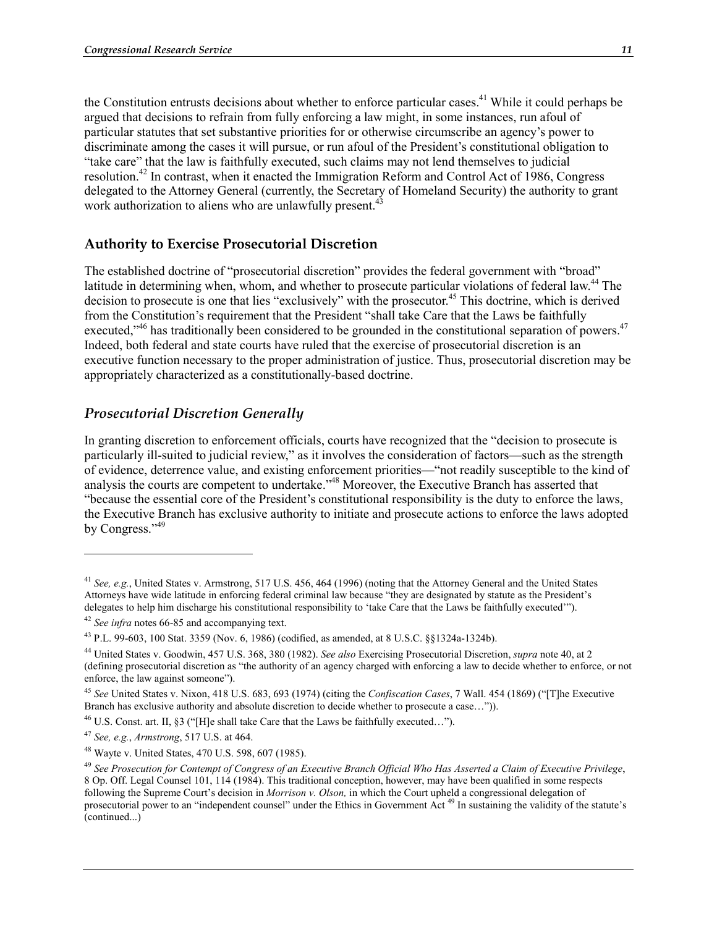the Constitution entrusts decisions about whether to enforce particular cases.<sup>41</sup> While it could perhaps be argued that decisions to refrain from fully enforcing a law might, in some instances, run afoul of particular statutes that set substantive priorities for or otherwise circumscribe an agency's power to discriminate among the cases it will pursue, or run afoul of the President's constitutional obligation to "take care" that the law is faithfully executed, such claims may not lend themselves to judicial resolution.42 In contrast, when it enacted the Immigration Reform and Control Act of 1986, Congress delegated to the Attorney General (currently, the Secretary of Homeland Security) the authority to grant work authorization to aliens who are unlawfully present.<sup>43</sup>

# **Authority to Exercise Prosecutorial Discretion**

The established doctrine of "prosecutorial discretion" provides the federal government with "broad" latitude in determining when, whom, and whether to prosecute particular violations of federal law.<sup>44</sup> The decision to prosecute is one that lies "exclusively" with the prosecutor.<sup>45</sup> This doctrine, which is derived from the Constitution's requirement that the President "shall take Care that the Laws be faithfully executed,<sup>346</sup> has traditionally been considered to be grounded in the constitutional separation of powers.<sup>47</sup> Indeed, both federal and state courts have ruled that the exercise of prosecutorial discretion is an executive function necessary to the proper administration of justice. Thus, prosecutorial discretion may be appropriately characterized as a constitutionally-based doctrine.

## *Prosecutorial Discretion Generally*

In granting discretion to enforcement officials, courts have recognized that the "decision to prosecute is particularly ill-suited to judicial review," as it involves the consideration of factors—such as the strength of evidence, deterrence value, and existing enforcement priorities—"not readily susceptible to the kind of analysis the courts are competent to undertake."48 Moreover, the Executive Branch has asserted that "because the essential core of the President's constitutional responsibility is the duty to enforce the laws, the Executive Branch has exclusive authority to initiate and prosecute actions to enforce the laws adopted by Congress."<sup>49</sup>

<u>.</u>

<sup>41</sup> *See, e.g.*, United States v. Armstrong, 517 U.S. 456, 464 (1996) (noting that the Attorney General and the United States Attorneys have wide latitude in enforcing federal criminal law because "they are designated by statute as the President's delegates to help him discharge his constitutional responsibility to 'take Care that the Laws be faithfully executed'"). <sup>42</sup> *See infra* notes 66-85 and accompanying text.

<sup>43</sup> P.L. 99-603, 100 Stat. 3359 (Nov. 6, 1986) (codified, as amended, at 8 U.S.C. §§1324a-1324b).

<sup>44</sup> United States v. Goodwin, 457 U.S. 368, 380 (1982). *See also* Exercising Prosecutorial Discretion, *supra* note 40, at 2 (defining prosecutorial discretion as "the authority of an agency charged with enforcing a law to decide whether to enforce, or not enforce, the law against someone").

<sup>45</sup> *See* United States v. Nixon, 418 U.S. 683, 693 (1974) (citing the *Confiscation Cases*, 7 Wall. 454 (1869) ("[T]he Executive Branch has exclusive authority and absolute discretion to decide whether to prosecute a case…")).

<sup>&</sup>lt;sup>46</sup> U.S. Const. art. II, §3 ("[H]e shall take Care that the Laws be faithfully executed...").

<sup>47</sup> *See, e.g.*, *Armstrong*, 517 U.S. at 464.

<sup>48</sup> Wayte v. United States, 470 U.S. 598, 607 (1985).

<sup>49</sup> *See Prosecution for Contempt of Congress of an Executive Branch Official Who Has Asserted a Claim of Executive Privilege*, 8 Op. Off. Legal Counsel 101, 114 (1984). This traditional conception, however, may have been qualified in some respects following the Supreme Court's decision in *Morrison v. Olson,* in which the Court upheld a congressional delegation of prosecutorial power to an "independent counsel" under the Ethics in Government Act<sup>49</sup> In sustaining the validity of the statute's (continued...)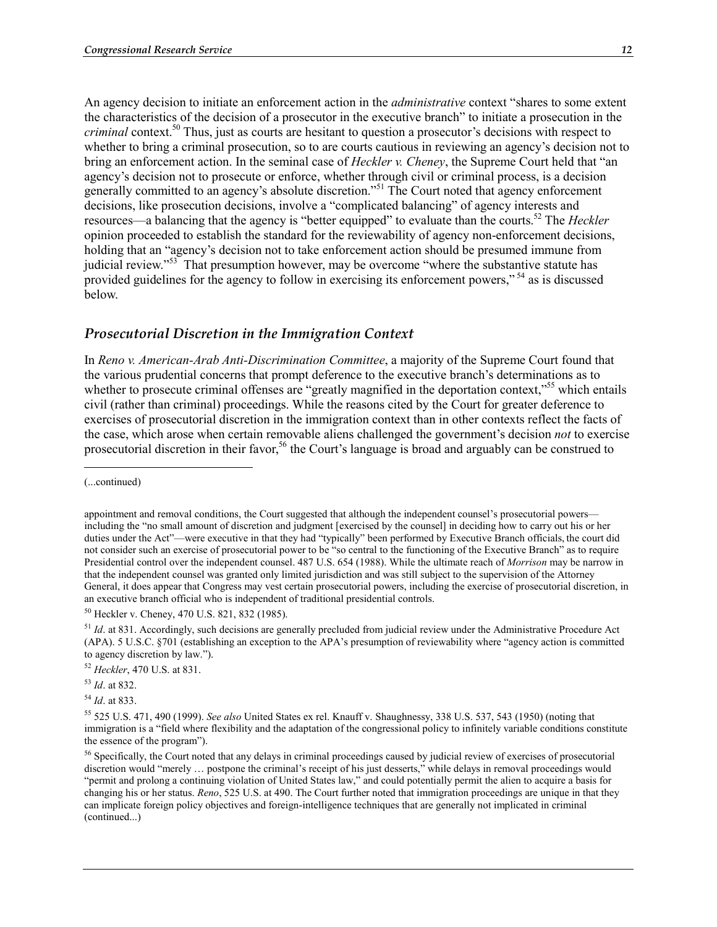An agency decision to initiate an enforcement action in the *administrative* context "shares to some extent the characteristics of the decision of a prosecutor in the executive branch" to initiate a prosecution in the *criminal* context.<sup>50</sup> Thus, just as courts are hesitant to question a prosecutor's decisions with respect to whether to bring a criminal prosecution, so to are courts cautious in reviewing an agency's decision not to bring an enforcement action. In the seminal case of *Heckler v. Cheney*, the Supreme Court held that "an agency's decision not to prosecute or enforce, whether through civil or criminal process, is a decision generally committed to an agency's absolute discretion."<sup>51</sup> The Court noted that agency enforcement decisions, like prosecution decisions, involve a "complicated balancing" of agency interests and resources—a balancing that the agency is "better equipped" to evaluate than the courts.52 The *Heckler* opinion proceeded to establish the standard for the reviewability of agency non-enforcement decisions, holding that an "agency's decision not to take enforcement action should be presumed immune from judicial review."<sup>53</sup> That presumption however, may be overcome "where the substantive statute has provided guidelines for the agency to follow in exercising its enforcement powers," 54 as is discussed below.

#### *Prosecutorial Discretion in the Immigration Context*

In *Reno v. American-Arab Anti-Discrimination Committee*, a majority of the Supreme Court found that the various prudential concerns that prompt deference to the executive branch's determinations as to whether to prosecute criminal offenses are "greatly magnified in the deportation context,"<sup>55</sup> which entails civil (rather than criminal) proceedings. While the reasons cited by the Court for greater deference to exercises of prosecutorial discretion in the immigration context than in other contexts reflect the facts of the case, which arose when certain removable aliens challenged the government's decision *not* to exercise prosecutorial discretion in their favor,<sup>56</sup> the Court's language is broad and arguably can be construed to

1

50 Heckler v. Cheney, 470 U.S. 821, 832 (1985).

<sup>51</sup> *Id.* at 831. Accordingly, such decisions are generally precluded from judicial review under the Administrative Procedure Act (APA). 5 U.S.C. §701 (establishing an exception to the APA's presumption of reviewability where "agency action is committed to agency discretion by law.").

<sup>52</sup> *Heckler*, 470 U.S. at 831.

<sup>53</sup> *Id*. at 832.

<sup>54</sup> *Id*. at 833.

<sup>(...</sup>continued)

appointment and removal conditions, the Court suggested that although the independent counsel's prosecutorial powers including the "no small amount of discretion and judgment [exercised by the counsel] in deciding how to carry out his or her duties under the Act"—were executive in that they had "typically" been performed by Executive Branch officials, the court did not consider such an exercise of prosecutorial power to be "so central to the functioning of the Executive Branch" as to require Presidential control over the independent counsel. 487 U.S. 654 (1988). While the ultimate reach of *Morrison* may be narrow in that the independent counsel was granted only limited jurisdiction and was still subject to the supervision of the Attorney General, it does appear that Congress may vest certain prosecutorial powers, including the exercise of prosecutorial discretion, in an executive branch official who is independent of traditional presidential controls.

<sup>55 525</sup> U.S. 471, 490 (1999). *See also* United States ex rel. Knauff v. Shaughnessy, 338 U.S. 537, 543 (1950) (noting that immigration is a "field where flexibility and the adaptation of the congressional policy to infinitely variable conditions constitute the essence of the program").

<sup>&</sup>lt;sup>56</sup> Specifically, the Court noted that any delays in criminal proceedings caused by judicial review of exercises of prosecutorial discretion would "merely … postpone the criminal's receipt of his just desserts," while delays in removal proceedings would "permit and prolong a continuing violation of United States law," and could potentially permit the alien to acquire a basis for changing his or her status. *Reno*, 525 U.S. at 490. The Court further noted that immigration proceedings are unique in that they can implicate foreign policy objectives and foreign-intelligence techniques that are generally not implicated in criminal (continued...)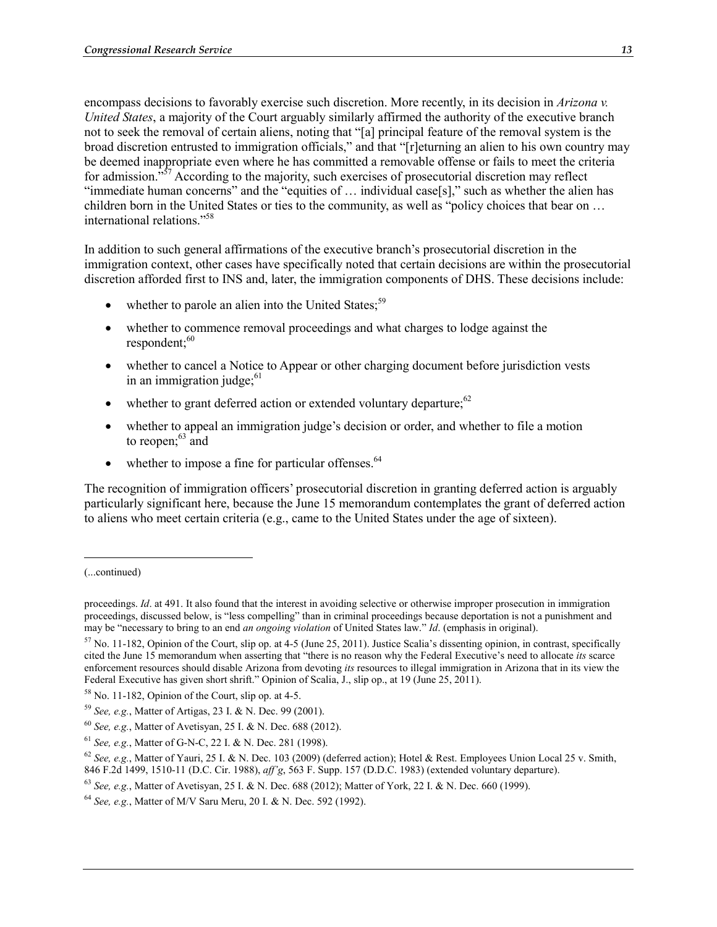encompass decisions to favorably exercise such discretion. More recently, in its decision in *Arizona v. United States*, a majority of the Court arguably similarly affirmed the authority of the executive branch not to seek the removal of certain aliens, noting that "[a] principal feature of the removal system is the broad discretion entrusted to immigration officials," and that "[r]eturning an alien to his own country may be deemed inappropriate even where he has committed a removable offense or fails to meet the criteria for admission.<sup> $557$ </sup> According to the majority, such exercises of prosecutorial discretion may reflect "immediate human concerns" and the "equities of … individual case[s]," such as whether the alien has children born in the United States or ties to the community, as well as "policy choices that bear on … international relations."58

In addition to such general affirmations of the executive branch's prosecutorial discretion in the immigration context, other cases have specifically noted that certain decisions are within the prosecutorial discretion afforded first to INS and, later, the immigration components of DHS. These decisions include:

- whether to parole an alien into the United States;  $59$
- whether to commence removal proceedings and what charges to lodge against the  $respondent$ ; $60$
- whether to cancel a Notice to Appear or other charging document before jurisdiction vests in an immigration judge; $61$
- whether to grant deferred action or extended voluntary departure; $62$
- whether to appeal an immigration judge's decision or order, and whether to file a motion to reopen: $63 \text{ and}$
- whether to impose a fine for particular offenses. $64$

The recognition of immigration officers' prosecutorial discretion in granting deferred action is arguably particularly significant here, because the June 15 memorandum contemplates the grant of deferred action to aliens who meet certain criteria (e.g., came to the United States under the age of sixteen).

1

<sup>(...</sup>continued)

proceedings. *Id*. at 491. It also found that the interest in avoiding selective or otherwise improper prosecution in immigration proceedings, discussed below, is "less compelling" than in criminal proceedings because deportation is not a punishment and may be "necessary to bring to an end *an ongoing violation* of United States law." *Id*. (emphasis in original).

 $57$  No. 11-182, Opinion of the Court, slip op. at 4-5 (June 25, 2011). Justice Scalia's dissenting opinion, in contrast, specifically cited the June 15 memorandum when asserting that "there is no reason why the Federal Executive's need to allocate *its* scarce enforcement resources should disable Arizona from devoting *its* resources to illegal immigration in Arizona that in its view the Federal Executive has given short shrift." Opinion of Scalia, J., slip op., at 19 (June 25, 2011).

 $58$  No. 11-182, Opinion of the Court, slip op. at 4-5.

<sup>59</sup> *See, e.g.*, Matter of Artigas, 23 I. & N. Dec. 99 (2001).

<sup>60</sup> *See, e.g.*, Matter of Avetisyan, 25 I. & N. Dec. 688 (2012).

<sup>61</sup> *See, e.g.*, Matter of G-N-C, 22 I. & N. Dec. 281 (1998).

<sup>62</sup> *See, e.g.*, Matter of Yauri, 25 I. & N. Dec. 103 (2009) (deferred action); Hotel & Rest. Employees Union Local 25 v. Smith, 846 F.2d 1499, 1510-11 (D.C. Cir. 1988), *aff'g*, 563 F. Supp. 157 (D.D.C. 1983) (extended voluntary departure).

<sup>63</sup> *See, e.g.*, Matter of Avetisyan, 25 I. & N. Dec. 688 (2012); Matter of York, 22 I. & N. Dec. 660 (1999).

<sup>64</sup> *See, e.g.*, Matter of M/V Saru Meru, 20 I. & N. Dec. 592 (1992).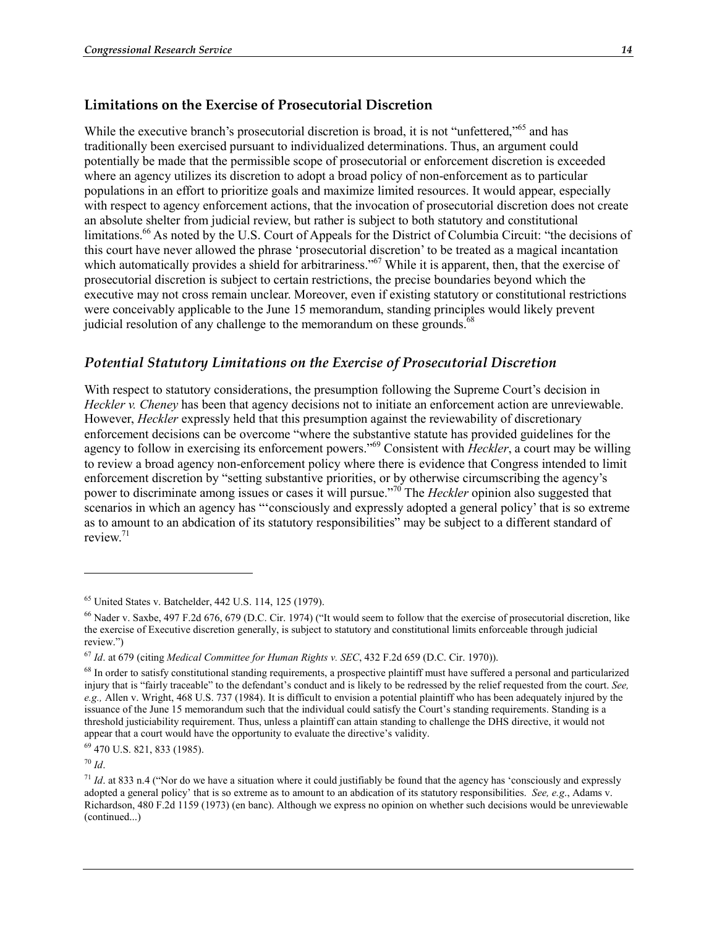## **Limitations on the Exercise of Prosecutorial Discretion**

While the executive branch's prosecutorial discretion is broad, it is not "unfettered,"<sup>65</sup> and has traditionally been exercised pursuant to individualized determinations. Thus, an argument could potentially be made that the permissible scope of prosecutorial or enforcement discretion is exceeded where an agency utilizes its discretion to adopt a broad policy of non-enforcement as to particular populations in an effort to prioritize goals and maximize limited resources. It would appear, especially with respect to agency enforcement actions, that the invocation of prosecutorial discretion does not create an absolute shelter from judicial review, but rather is subject to both statutory and constitutional limitations.<sup>66</sup> As noted by the U.S. Court of Appeals for the District of Columbia Circuit: "the decisions of this court have never allowed the phrase 'prosecutorial discretion' to be treated as a magical incantation which automatically provides a shield for arbitrariness."<sup>67</sup> While it is apparent, then, that the exercise of prosecutorial discretion is subject to certain restrictions, the precise boundaries beyond which the executive may not cross remain unclear. Moreover, even if existing statutory or constitutional restrictions were conceivably applicable to the June 15 memorandum, standing principles would likely prevent judicial resolution of any challenge to the memorandum on these grounds.<sup>68</sup>

## *Potential Statutory Limitations on the Exercise of Prosecutorial Discretion*

With respect to statutory considerations, the presumption following the Supreme Court's decision in *Heckler v. Cheney* has been that agency decisions not to initiate an enforcement action are unreviewable. However, *Heckler* expressly held that this presumption against the reviewability of discretionary enforcement decisions can be overcome "where the substantive statute has provided guidelines for the agency to follow in exercising its enforcement powers."69 Consistent with *Heckler*, a court may be willing to review a broad agency non-enforcement policy where there is evidence that Congress intended to limit enforcement discretion by "setting substantive priorities, or by otherwise circumscribing the agency's power to discriminate among issues or cases it will pursue."70 The *Heckler* opinion also suggested that scenarios in which an agency has "'consciously and expressly adopted a general policy' that is so extreme as to amount to an abdication of its statutory responsibilities" may be subject to a different standard of review.71

69 470 U.S. 821, 833 (1985).

<sup>70</sup> *Id*.

1

<sup>65</sup> United States v. Batchelder, 442 U.S. 114, 125 (1979).

<sup>&</sup>lt;sup>66</sup> Nader v. Saxbe, 497 F.2d 676, 679 (D.C. Cir. 1974) ("It would seem to follow that the exercise of prosecutorial discretion, like the exercise of Executive discretion generally, is subject to statutory and constitutional limits enforceable through judicial review.")

<sup>67</sup> *Id*. at 679 (citing *Medical Committee for Human Rights v. SEC*, 432 F.2d 659 (D.C. Cir. 1970)).

 $^{68}$  In order to satisfy constitutional standing requirements, a prospective plaintiff must have suffered a personal and particularized injury that is "fairly traceable" to the defendant's conduct and is likely to be redressed by the relief requested from the court. *See, e.g.,* Allen v. Wright, 468 U.S. 737 (1984). It is difficult to envision a potential plaintiff who has been adequately injured by the issuance of the June 15 memorandum such that the individual could satisfy the Court's standing requirements. Standing is a threshold justiciability requirement. Thus, unless a plaintiff can attain standing to challenge the DHS directive, it would not appear that a court would have the opportunity to evaluate the directive's validity.

 $1/71$  *Id.* at 833 n.4 ("Nor do we have a situation where it could justifiably be found that the agency has 'consciously and expressly adopted a general policy' that is so extreme as to amount to an abdication of its statutory responsibilities. *See, e.g*., Adams v. Richardson, 480 F.2d 1159 (1973) (en banc). Although we express no opinion on whether such decisions would be unreviewable (continued...)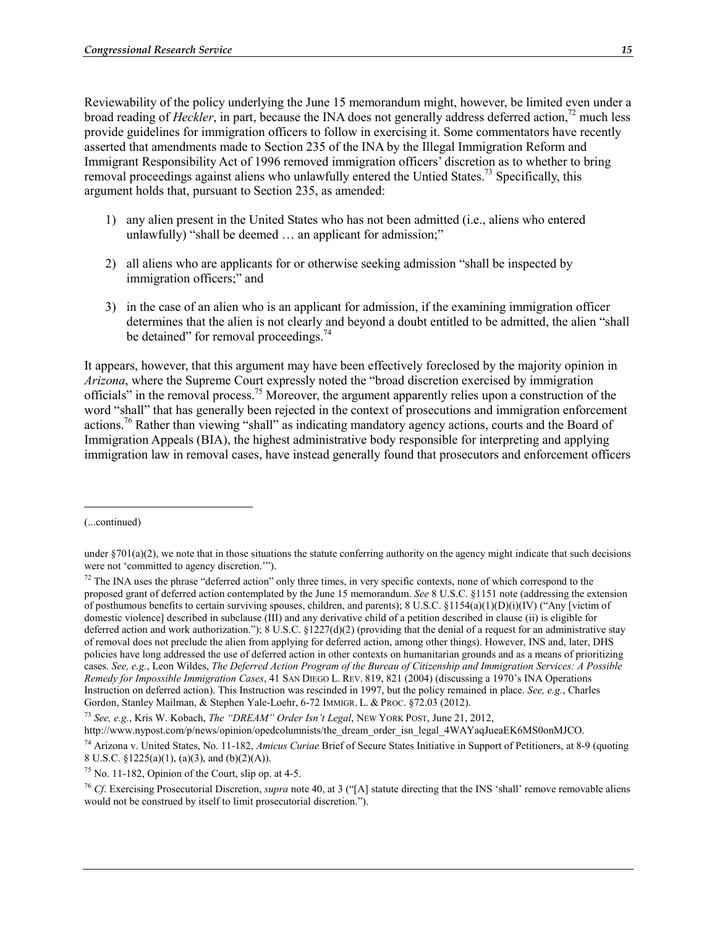Reviewability of the policy underlying the June 15 memorandum might, however, be limited even under a broad reading of *Heckler*, in part, because the INA does not generally address deferred action,<sup>72</sup> much less provide guidelines for immigration officers to follow in exercising it. Some commentators have recently asserted that amendments made to Section 235 of the INA by the Illegal Immigration Reform and Immigrant Responsibility Act of 1996 removed immigration officers' discretion as to whether to bring removal proceedings against aliens who unlawfully entered the Untied States.<sup>73</sup> Specifically, this argument holds that, pursuant to Section 235, as amended:

- 1) any alien present in the United States who has not been admitted (i.e., aliens who entered unlawfully) "shall be deemed  $\ldots$  an applicant for admission:"
- 2) all aliens who are applicants for or otherwise seeking admission "shall be inspected by immigration officers;" and
- 3) in the case of an alien who is an applicant for admission, if the examining immigration officer determines that the alien is not clearly and beyond a doubt entitled to be admitted, the alien "shall be detained" for removal proceedings.<sup>74</sup>

It appears, however, that this argument may have been effectively foreclosed by the majority opinion in *Arizona*, where the Supreme Court expressly noted the "broad discretion exercised by immigration officials" in the removal process.75 Moreover, the argument apparently relies upon a construction of the word "shall" that has generally been rejected in the context of prosecutions and immigration enforcement actions.76 Rather than viewing "shall" as indicating mandatory agency actions, courts and the Board of Immigration Appeals (BIA), the highest administrative body responsible for interpreting and applying immigration law in removal cases, have instead generally found that prosecutors and enforcement officers

 $\overline{\phantom{a}}$ 

<sup>(...</sup>continued)

under  $\S701(a)(2)$ , we note that in those situations the statute conferring authority on the agency might indicate that such decisions were not 'committed to agency discretion.'").

 $<sup>72</sup>$  The INA uses the phrase "deferred action" only three times, in very specific contexts, none of which correspond to the</sup> proposed grant of deferred action contemplated by the June 15 memorandum. *See* 8 U.S.C. §1151 note (addressing the extension of posthumous benefits to certain surviving spouses, children, and parents);  $8 \text{ U.S.C.}$   $\frac{81154(a)(1)(D)(i)(IV)}{M}$  ("Any [victim of domestic violence] described in subclause (III) and any derivative child of a petition described in clause (ii) is eligible for deferred action and work authorization."); 8 U.S.C.  $\S 1227(d)(2)$  (providing that the denial of a request for an administrative stay of removal does not preclude the alien from applying for deferred action, among other things). However, INS and, later, DHS policies have long addressed the use of deferred action in other contexts on humanitarian grounds and as a means of prioritizing cases. *See, e.g.*, Leon Wildes, *The Deferred Action Program of the Bureau of Citizenship and Immigration Services: A Possible Remedy for Impossible Immigration Cases*, 41 SAN DIEGO L. REV. 819, 821 (2004) (discussing a 1970's INA Operations Instruction on deferred action). This Instruction was rescinded in 1997, but the policy remained in place. *See, e.g.*, Charles Gordon, Stanley Mailman, & Stephen Yale-Loehr, 6-72 IMMIGR. L. & PROC. §72.03 (2012).

<sup>73</sup> *See, e.g.*, Kris W. Kobach, *The "DREAM" Order Isn't Legal*, NEW YORK POST, June 21, 2012,

http://www.nypost.com/p/news/opinion/opedcolumnists/the\_dream\_order\_isn\_legal\_4WAYaqJueaEK6MS0onMJCO.

<sup>74</sup> Arizona v. United States, No. 11-182, *Amicus Curiae* Brief of Secure States Initiative in Support of Petitioners, at 8-9 (quoting 8 U.S.C. §1225(a)(1), (a)(3), and (b)(2)(A)).

 $75$  No. 11-182, Opinion of the Court, slip op. at 4-5.

<sup>76</sup> *Cf*. Exercising Prosecutorial Discretion, *supra* note 40, at 3 ("[A] statute directing that the INS 'shall' remove removable aliens would not be construed by itself to limit prosecutorial discretion.").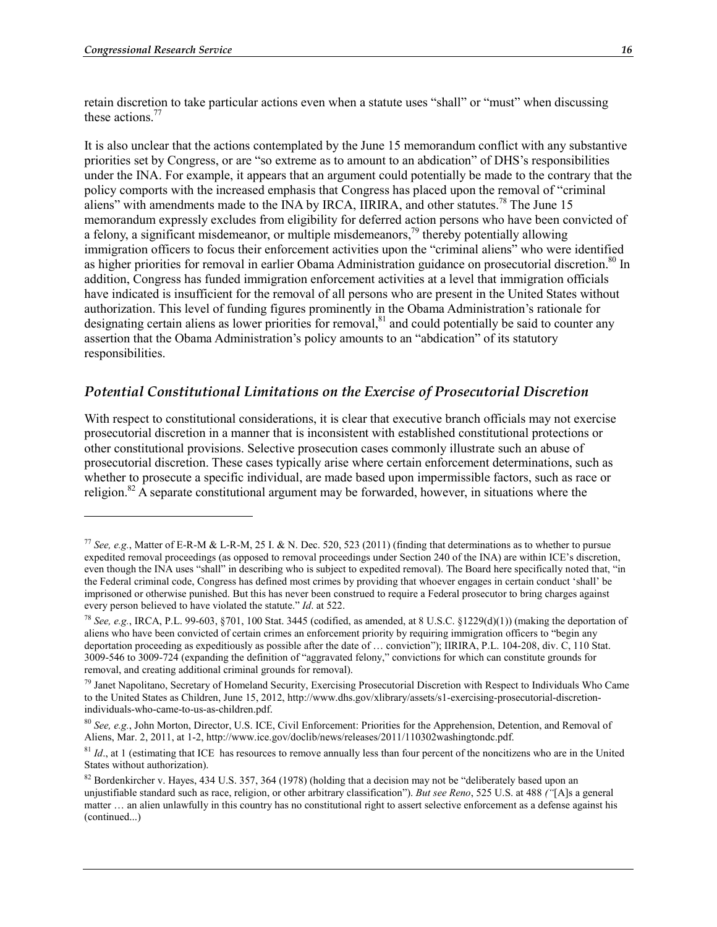1

retain discretion to take particular actions even when a statute uses "shall" or "must" when discussing these actions.<sup>77</sup>

It is also unclear that the actions contemplated by the June 15 memorandum conflict with any substantive priorities set by Congress, or are "so extreme as to amount to an abdication" of DHS's responsibilities under the INA. For example, it appears that an argument could potentially be made to the contrary that the policy comports with the increased emphasis that Congress has placed upon the removal of "criminal aliens" with amendments made to the INA by IRCA, IIRIRA, and other statutes.<sup>78</sup> The June 15 memorandum expressly excludes from eligibility for deferred action persons who have been convicted of a felony, a significant misdemeanor, or multiple misdemeanors,<sup>79</sup> thereby potentially allowing immigration officers to focus their enforcement activities upon the "criminal aliens" who were identified as higher priorities for removal in earlier Obama Administration guidance on prosecutorial discretion.<sup>80</sup> In addition, Congress has funded immigration enforcement activities at a level that immigration officials have indicated is insufficient for the removal of all persons who are present in the United States without authorization. This level of funding figures prominently in the Obama Administration's rationale for designating certain aliens as lower priorities for removal, $81$  and could potentially be said to counter any assertion that the Obama Administration's policy amounts to an "abdication" of its statutory responsibilities.

## *Potential Constitutional Limitations on the Exercise of Prosecutorial Discretion*

With respect to constitutional considerations, it is clear that executive branch officials may not exercise prosecutorial discretion in a manner that is inconsistent with established constitutional protections or other constitutional provisions. Selective prosecution cases commonly illustrate such an abuse of prosecutorial discretion. These cases typically arise where certain enforcement determinations, such as whether to prosecute a specific individual, are made based upon impermissible factors, such as race or religion.<sup>82</sup> A separate constitutional argument may be forwarded, however, in situations where the

<sup>&</sup>lt;sup>77</sup> *See, e.g.*, Matter of E-R-M & L-R-M, 25 I. & N. Dec. 520, 523 (2011) (finding that determinations as to whether to pursue expedited removal proceedings (as opposed to removal proceedings under Section 240 of the INA) are within ICE's discretion, even though the INA uses "shall" in describing who is subject to expedited removal). The Board here specifically noted that, "in the Federal criminal code, Congress has defined most crimes by providing that whoever engages in certain conduct 'shall' be imprisoned or otherwise punished. But this has never been construed to require a Federal prosecutor to bring charges against every person believed to have violated the statute." *Id*. at 522.

<sup>78</sup> *See, e.g.*, IRCA, P.L. 99-603, §701, 100 Stat. 3445 (codified, as amended, at 8 U.S.C. §1229(d)(1)) (making the deportation of aliens who have been convicted of certain crimes an enforcement priority by requiring immigration officers to "begin any deportation proceeding as expeditiously as possible after the date of … conviction"); IIRIRA, P.L. 104-208, div. C, 110 Stat. 3009-546 to 3009-724 (expanding the definition of "aggravated felony," convictions for which can constitute grounds for removal, and creating additional criminal grounds for removal).

<sup>79</sup> Janet Napolitano, Secretary of Homeland Security, Exercising Prosecutorial Discretion with Respect to Individuals Who Came to the United States as Children, June 15, 2012, http://www.dhs.gov/xlibrary/assets/s1-exercising-prosecutorial-discretionindividuals-who-came-to-us-as-children.pdf.

<sup>80</sup> *See, e.g.*, John Morton, Director, U.S. ICE, Civil Enforcement: Priorities for the Apprehension, Detention, and Removal of Aliens, Mar. 2, 2011, at 1-2, http://www.ice.gov/doclib/news/releases/2011/110302washingtondc.pdf.

<sup>&</sup>lt;sup>81</sup> *Id.*, at 1 (estimating that ICE has resources to remove annually less than four percent of the noncitizens who are in the United States without authorization).

<sup>&</sup>lt;sup>82</sup> Bordenkircher v. Hayes, 434 U.S. 357, 364 (1978) (holding that a decision may not be "deliberately based upon an unjustifiable standard such as race, religion, or other arbitrary classification"). *But see Reno*, 525 U.S. at 488 *("*[A]s a general matter … an alien unlawfully in this country has no constitutional right to assert selective enforcement as a defense against his (continued...)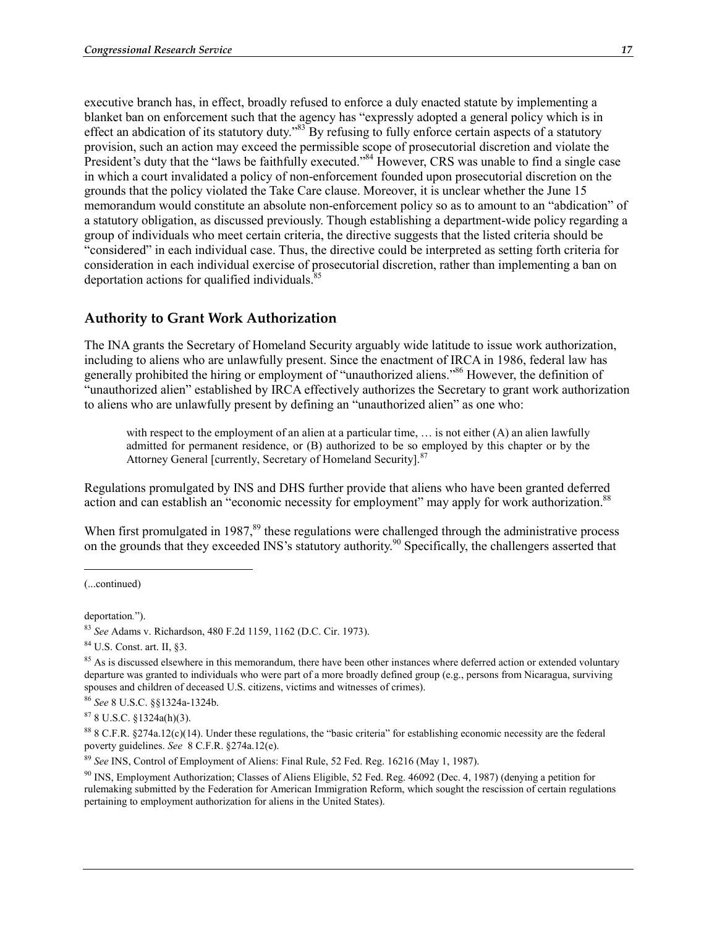executive branch has, in effect, broadly refused to enforce a duly enacted statute by implementing a blanket ban on enforcement such that the agency has "expressly adopted a general policy which is in effect an abdication of its statutory duty.<sup>83</sup> By refusing to fully enforce certain aspects of a statutory provision, such an action may exceed the permissible scope of prosecutorial discretion and violate the President's duty that the "laws be faithfully executed."<sup>84</sup> However, CRS was unable to find a single case in which a court invalidated a policy of non-enforcement founded upon prosecutorial discretion on the grounds that the policy violated the Take Care clause. Moreover, it is unclear whether the June 15 memorandum would constitute an absolute non-enforcement policy so as to amount to an "abdication" of a statutory obligation, as discussed previously. Though establishing a department-wide policy regarding a group of individuals who meet certain criteria, the directive suggests that the listed criteria should be "considered" in each individual case. Thus, the directive could be interpreted as setting forth criteria for consideration in each individual exercise of prosecutorial discretion, rather than implementing a ban on deportation actions for qualified individuals.<sup>85</sup>

# **Authority to Grant Work Authorization**

The INA grants the Secretary of Homeland Security arguably wide latitude to issue work authorization, including to aliens who are unlawfully present. Since the enactment of IRCA in 1986, federal law has generally prohibited the hiring or employment of "unauthorized aliens."86 However, the definition of "unauthorized alien" established by IRCA effectively authorizes the Secretary to grant work authorization to aliens who are unlawfully present by defining an "unauthorized alien" as one who:

with respect to the employment of an alien at a particular time, ... is not either (A) an alien lawfully admitted for permanent residence, or (B) authorized to be so employed by this chapter or by the Attorney General [currently, Secretary of Homeland Security].<sup>87</sup>

Regulations promulgated by INS and DHS further provide that aliens who have been granted deferred action and can establish an "economic necessity for employment" may apply for work authorization.<sup>88</sup>

When first promulgated in 1987,<sup>89</sup> these regulations were challenged through the administrative process on the grounds that they exceeded INS's statutory authority.<sup>90</sup> Specifically, the challengers asserted that

 $\overline{\phantom{a}}$ 

<sup>(...</sup>continued)

deportation*.*").

<sup>83</sup> *See* Adams v. Richardson, 480 F.2d 1159, 1162 (D.C. Cir. 1973).

<sup>84</sup> U.S. Const. art. II, §3.

<sup>&</sup>lt;sup>85</sup> As is discussed elsewhere in this memorandum, there have been other instances where deferred action or extended voluntary departure was granted to individuals who were part of a more broadly defined group (e.g., persons from Nicaragua, surviving spouses and children of deceased U.S. citizens, victims and witnesses of crimes).

<sup>86</sup> *See* 8 U.S.C. §§1324a-1324b.

 $878$  U.S.C. §1324a(h)(3).

 $88$  8 C.F.R.  $$274a.12(c)(14)$ . Under these regulations, the "basic criteria" for establishing economic necessity are the federal poverty guidelines. *See* 8 C.F.R. §274a.12(e).

<sup>89</sup> *See* INS, Control of Employment of Aliens: Final Rule, 52 Fed. Reg. 16216 (May 1, 1987).

<sup>90</sup> INS, Employment Authorization; Classes of Aliens Eligible, 52 Fed. Reg. 46092 (Dec. 4, 1987) (denying a petition for rulemaking submitted by the Federation for American Immigration Reform, which sought the rescission of certain regulations pertaining to employment authorization for aliens in the United States).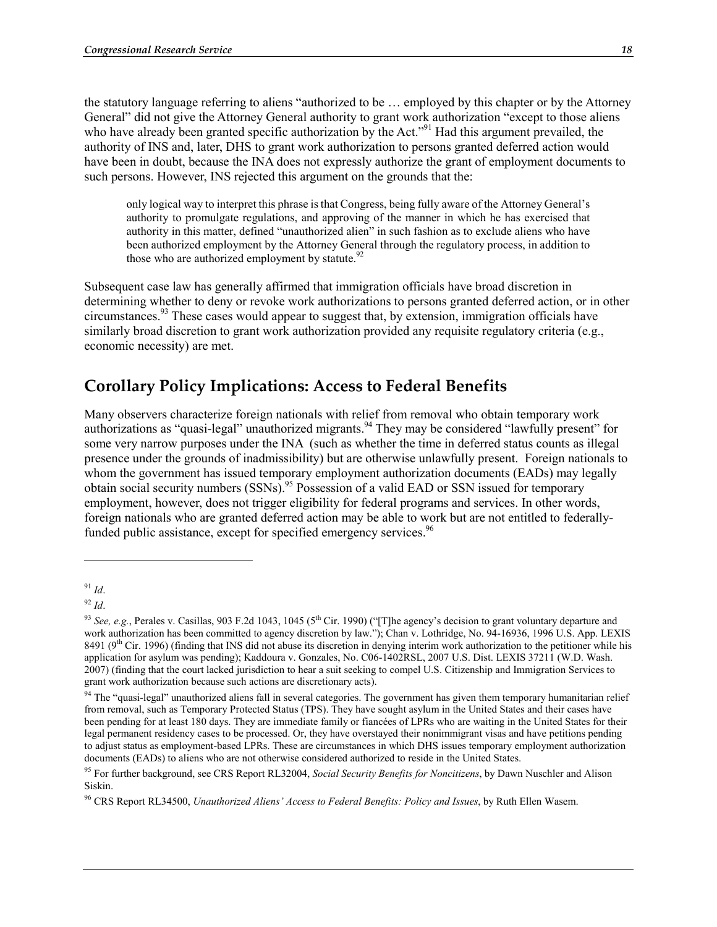the statutory language referring to aliens "authorized to be … employed by this chapter or by the Attorney General" did not give the Attorney General authority to grant work authorization "except to those aliens who have already been granted specific authorization by the Act."<sup>91</sup> Had this argument prevailed, the authority of INS and, later, DHS to grant work authorization to persons granted deferred action would have been in doubt, because the INA does not expressly authorize the grant of employment documents to such persons. However, INS rejected this argument on the grounds that the:

only logical way to interpret this phrase is that Congress, being fully aware of the Attorney General's authority to promulgate regulations, and approving of the manner in which he has exercised that authority in this matter, defined "unauthorized alien" in such fashion as to exclude aliens who have been authorized employment by the Attorney General through the regulatory process, in addition to those who are authorized employment by statute. $92$ 

Subsequent case law has generally affirmed that immigration officials have broad discretion in determining whether to deny or revoke work authorizations to persons granted deferred action, or in other circumstances.93 These cases would appear to suggest that, by extension, immigration officials have similarly broad discretion to grant work authorization provided any requisite regulatory criteria (e.g., economic necessity) are met.

# **Corollary Policy Implications: Access to Federal Benefits**

Many observers characterize foreign nationals with relief from removal who obtain temporary work authorizations as "quasi-legal" unauthorized migrants.<sup>94</sup> They may be considered "lawfully present" for some very narrow purposes under the INA (such as whether the time in deferred status counts as illegal presence under the grounds of inadmissibility) but are otherwise unlawfully present. Foreign nationals to whom the government has issued temporary employment authorization documents (EADs) may legally obtain social security numbers (SSNs).<sup>95</sup> Possession of a valid EAD or SSN issued for temporary employment, however, does not trigger eligibility for federal programs and services. In other words, foreign nationals who are granted deferred action may be able to work but are not entitled to federallyfunded public assistance, except for specified emergency services.<sup>96</sup>

<u>.</u>

<sup>91</sup> *Id*.

<sup>92</sup> *Id*.

<sup>&</sup>lt;sup>93</sup> *See, e.g.*, Perales v. Casillas, 903 F.2d 1043, 1045 (5<sup>th</sup> Cir. 1990) ("[T]he agency's decision to grant voluntary departure and work authorization has been committed to agency discretion by law."); Chan v. Lothridge, No. 94-16936, 1996 U.S. App. LEXIS 8491 ( $9<sup>th</sup>$  Cir. 1996) (finding that INS did not abuse its discretion in denying interim work authorization to the petitioner while his application for asylum was pending); Kaddoura v. Gonzales, No. C06-1402RSL, 2007 U.S. Dist. LEXIS 37211 (W.D. Wash. 2007) (finding that the court lacked jurisdiction to hear a suit seeking to compel U.S. Citizenship and Immigration Services to grant work authorization because such actions are discretionary acts).

<sup>&</sup>lt;sup>94</sup> The "quasi-legal" unauthorized aliens fall in several categories. The government has given them temporary humanitarian relief from removal, such as Temporary Protected Status (TPS). They have sought asylum in the United States and their cases have been pending for at least 180 days. They are immediate family or fiancées of LPRs who are waiting in the United States for their legal permanent residency cases to be processed. Or, they have overstayed their nonimmigrant visas and have petitions pending to adjust status as employment-based LPRs. These are circumstances in which DHS issues temporary employment authorization documents (EADs) to aliens who are not otherwise considered authorized to reside in the United States.

<sup>95</sup> For further background, see CRS Report RL32004, *Social Security Benefits for Noncitizens*, by Dawn Nuschler and Alison Siskin.

<sup>96</sup> CRS Report RL34500, *Unauthorized Aliens' Access to Federal Benefits: Policy and Issues*, by Ruth Ellen Wasem.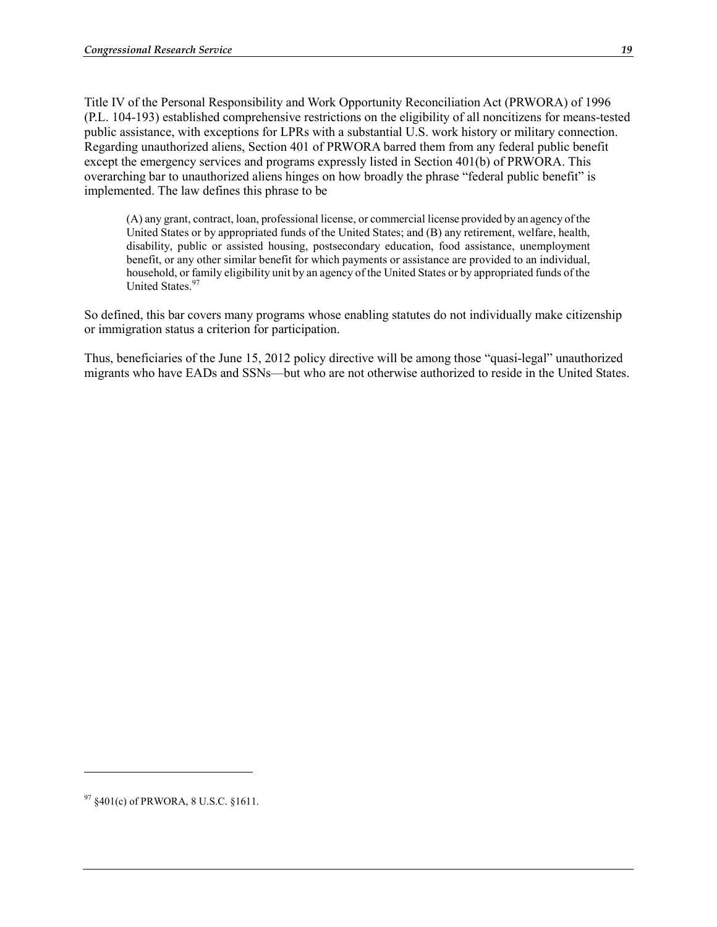Title IV of the Personal Responsibility and Work Opportunity Reconciliation Act (PRWORA) of 1996 (P.L. 104-193) established comprehensive restrictions on the eligibility of all noncitizens for means-tested public assistance, with exceptions for LPRs with a substantial U.S. work history or military connection. Regarding unauthorized aliens, Section 401 of PRWORA barred them from any federal public benefit except the emergency services and programs expressly listed in Section 401(b) of PRWORA. This overarching bar to unauthorized aliens hinges on how broadly the phrase "federal public benefit" is implemented. The law defines this phrase to be

(A) any grant, contract, loan, professional license, or commercial license provided by an agency of the United States or by appropriated funds of the United States; and (B) any retirement, welfare, health, disability, public or assisted housing, postsecondary education, food assistance, unemployment benefit, or any other similar benefit for which payments or assistance are provided to an individual, household, or family eligibility unit by an agency of the United States or by appropriated funds of the United States.<sup>97</sup>

So defined, this bar covers many programs whose enabling statutes do not individually make citizenship or immigration status a criterion for participation.

Thus, beneficiaries of the June 15, 2012 policy directive will be among those "quasi-legal" unauthorized migrants who have EADs and SSNs—but who are not otherwise authorized to reside in the United States.

1

 $97 \text{ } $401(c) \text{ of } PRWORA, 8 \text{ U.S.C. } $1611.$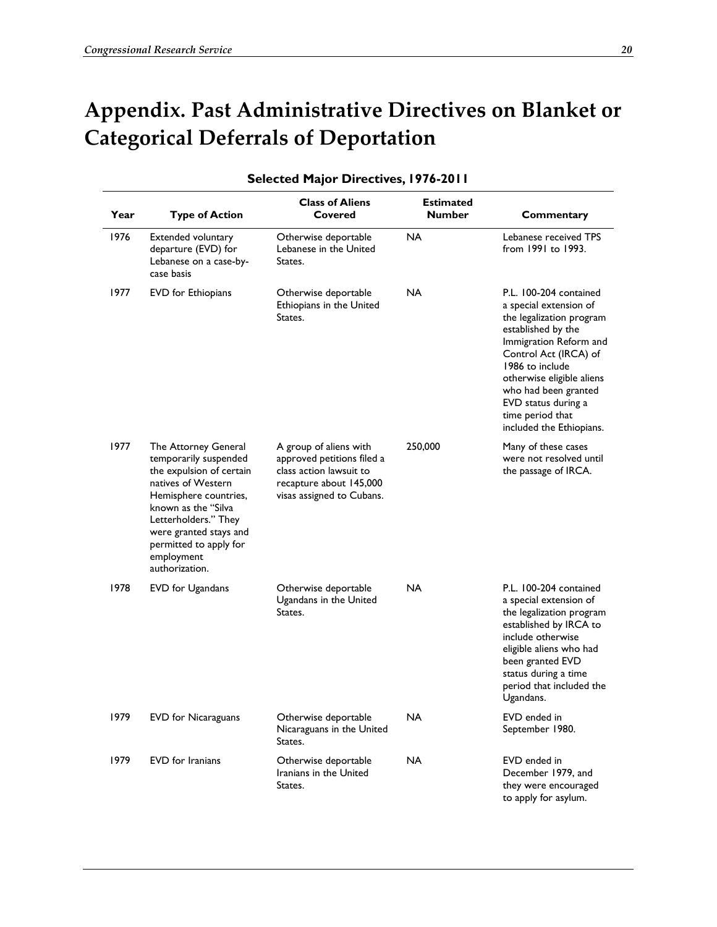# **Appendix. Past Administrative Directives on Blanket or Categorical Deferrals of Deportation**

| Year | <b>Type of Action</b>                                                                                                                                                                                                                                       | <b>Class of Aliens</b><br>Covered                                                                                                       | <b>Estimated</b><br><b>Number</b> | Commentary                                                                                                                                                                                                                                                                                           |
|------|-------------------------------------------------------------------------------------------------------------------------------------------------------------------------------------------------------------------------------------------------------------|-----------------------------------------------------------------------------------------------------------------------------------------|-----------------------------------|------------------------------------------------------------------------------------------------------------------------------------------------------------------------------------------------------------------------------------------------------------------------------------------------------|
| 1976 | Extended voluntary<br>departure (EVD) for<br>Lebanese on a case-by-<br>case basis                                                                                                                                                                           | Otherwise deportable<br>Lebanese in the United<br>States.                                                                               | <b>NA</b>                         | Lebanese received TPS<br>from 1991 to 1993.                                                                                                                                                                                                                                                          |
| 1977 | <b>EVD</b> for Ethiopians                                                                                                                                                                                                                                   | Otherwise deportable<br>Ethiopians in the United<br>States.                                                                             | NA                                | P.L. 100-204 contained<br>a special extension of<br>the legalization program<br>established by the<br>Immigration Reform and<br>Control Act (IRCA) of<br>1986 to include<br>otherwise eligible aliens<br>who had been granted<br>EVD status during a<br>time period that<br>included the Ethiopians. |
| 1977 | The Attorney General<br>temporarily suspended<br>the expulsion of certain<br>natives of Western<br>Hemisphere countries,<br>known as the "Silva<br>Letterholders." They<br>were granted stays and<br>permitted to apply for<br>employment<br>authorization. | A group of aliens with<br>approved petitions filed a<br>class action lawsuit to<br>recapture about 145,000<br>visas assigned to Cubans. | 250,000                           | Many of these cases<br>were not resolved until<br>the passage of IRCA.                                                                                                                                                                                                                               |
| 1978 | EVD for Ugandans                                                                                                                                                                                                                                            | Otherwise deportable<br>Ugandans in the United<br>States.                                                                               | NA                                | P.L. 100-204 contained<br>a special extension of<br>the legalization program<br>established by IRCA to<br>include otherwise<br>eligible aliens who had<br>been granted EVD<br>status during a time<br>period that included the<br>Ugandans.                                                          |
| 1979 | <b>EVD</b> for Nicaraguans                                                                                                                                                                                                                                  | Otherwise deportable<br>Nicaraguans in the United<br>States.                                                                            | <b>NA</b>                         | EVD ended in<br>September 1980.                                                                                                                                                                                                                                                                      |
| 1979 | <b>EVD</b> for Iranians                                                                                                                                                                                                                                     | Otherwise deportable<br>Iranians in the United<br>States.                                                                               | <b>NA</b>                         | EVD ended in<br>December 1979, and<br>they were encouraged<br>to apply for asylum.                                                                                                                                                                                                                   |

#### **Selected Major Directives, 1976-2011**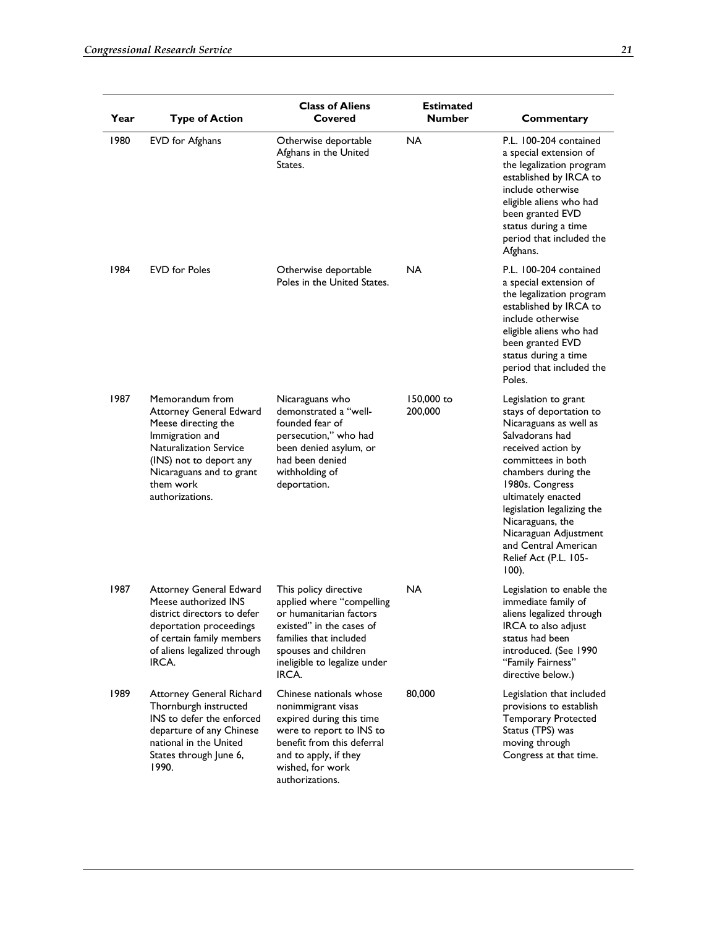| Year | <b>Type of Action</b>                                                                                                                                                                                        | <b>Class of Aliens</b><br>Covered                                                                                                                                                                    | <b>Estimated</b><br><b>Number</b> | Commentary                                                                                                                                                                                                                                                                                                                                       |
|------|--------------------------------------------------------------------------------------------------------------------------------------------------------------------------------------------------------------|------------------------------------------------------------------------------------------------------------------------------------------------------------------------------------------------------|-----------------------------------|--------------------------------------------------------------------------------------------------------------------------------------------------------------------------------------------------------------------------------------------------------------------------------------------------------------------------------------------------|
| 1980 | EVD for Afghans                                                                                                                                                                                              | Otherwise deportable<br>Afghans in the United<br>States.                                                                                                                                             | NA                                | P.L. 100-204 contained<br>a special extension of<br>the legalization program<br>established by IRCA to<br>include otherwise<br>eligible aliens who had<br>been granted EVD<br>status during a time<br>period that included the<br>Afghans.                                                                                                       |
| 1984 | <b>EVD</b> for Poles                                                                                                                                                                                         | Otherwise deportable<br>Poles in the United States.                                                                                                                                                  | NA                                | P.L. 100-204 contained<br>a special extension of<br>the legalization program<br>established by IRCA to<br>include otherwise<br>eligible aliens who had<br>been granted EVD<br>status during a time<br>period that included the<br>Poles.                                                                                                         |
| 1987 | Memorandum from<br>Attorney General Edward<br>Meese directing the<br>Immigration and<br><b>Naturalization Service</b><br>(INS) not to deport any<br>Nicaraguans and to grant<br>them work<br>authorizations. | Nicaraguans who<br>demonstrated a "well-<br>founded fear of<br>persecution," who had<br>been denied asylum, or<br>had been denied<br>withholding of<br>deportation.                                  | 150,000 to<br>200,000             | Legislation to grant<br>stays of deportation to<br>Nicaraguans as well as<br>Salvadorans had<br>received action by<br>committees in both<br>chambers during the<br>1980s. Congress<br>ultimately enacted<br>legislation legalizing the<br>Nicaraguans, the<br>Nicaraguan Adjustment<br>and Central American<br>Relief Act (P.L. 105-<br>$100$ ). |
| 1987 | <b>Attorney General Edward</b><br>Meese authorized INS<br>district directors to defer<br>deportation proceedings<br>of certain family members<br>of aliens legalized through<br>IRCA.                        | This policy directive<br>applied where "compelling<br>or humanitarian factors<br>existed" in the cases of<br>families that included<br>spouses and children<br>ineligible to legalize under<br>IRCA. | NA                                | Legislation to enable the<br>immediate family of<br>aliens legalized through<br>IRCA to also adjust<br>status had been<br>introduced. (See 1990<br>"Family Fairness"<br>directive below.)                                                                                                                                                        |
| 1989 | <b>Attorney General Richard</b><br>Thornburgh instructed<br>INS to defer the enforced<br>departure of any Chinese<br>national in the United<br>States through June 6,<br>1990.                               | Chinese nationals whose<br>nonimmigrant visas<br>expired during this time<br>were to report to INS to<br>benefit from this deferral<br>and to apply, if they<br>wished, for work<br>authorizations.  | 80,000                            | Legislation that included<br>provisions to establish<br><b>Temporary Protected</b><br>Status (TPS) was<br>moving through<br>Congress at that time.                                                                                                                                                                                               |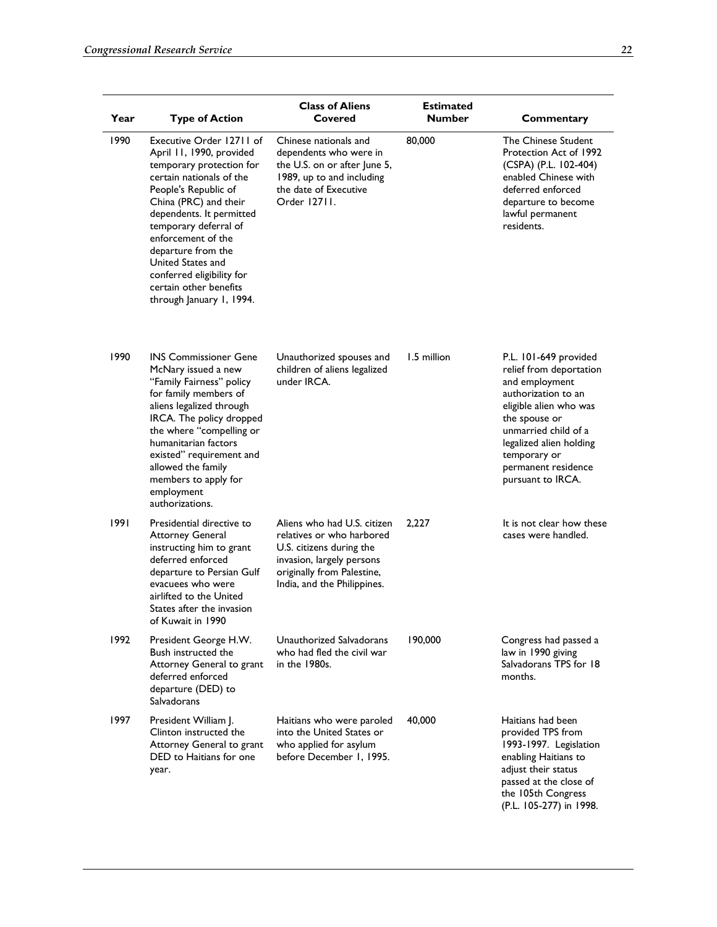| Year | <b>Type of Action</b>                                                                                                                                                                                                                                                                                                                                                  | <b>Class of Aliens</b><br>Covered                                                                                                                                              | <b>Estimated</b><br><b>Number</b> | Commentary                                                                                                                                                                                                                                          |
|------|------------------------------------------------------------------------------------------------------------------------------------------------------------------------------------------------------------------------------------------------------------------------------------------------------------------------------------------------------------------------|--------------------------------------------------------------------------------------------------------------------------------------------------------------------------------|-----------------------------------|-----------------------------------------------------------------------------------------------------------------------------------------------------------------------------------------------------------------------------------------------------|
| 1990 | Executive Order 12711 of<br>April 11, 1990, provided<br>temporary protection for<br>certain nationals of the<br>People's Republic of<br>China (PRC) and their<br>dependents. It permitted<br>temporary deferral of<br>enforcement of the<br>departure from the<br>United States and<br>conferred eligibility for<br>certain other benefits<br>through January 1, 1994. | Chinese nationals and<br>dependents who were in<br>the U.S. on or after June 5,<br>1989, up to and including<br>the date of Executive<br>Order 12711.                          | 80,000                            | The Chinese Student<br>Protection Act of 1992<br>(CSPA) (P.L. 102-404)<br>enabled Chinese with<br>deferred enforced<br>departure to become<br>lawful permanent<br>residents.                                                                        |
| 1990 | <b>INS Commissioner Gene</b><br>McNary issued a new<br>"Family Fairness" policy<br>for family members of<br>aliens legalized through<br>IRCA. The policy dropped<br>the where "compelling or<br>humanitarian factors<br>existed" requirement and<br>allowed the family<br>members to apply for<br>employment<br>authorizations.                                        | Unauthorized spouses and<br>children of aliens legalized<br>under IRCA.                                                                                                        | 1.5 million                       | P.L. 101-649 provided<br>relief from deportation<br>and employment<br>authorization to an<br>eligible alien who was<br>the spouse or<br>unmarried child of a<br>legalized alien holding<br>temporary or<br>permanent residence<br>pursuant to IRCA. |
| 1991 | Presidential directive to<br><b>Attorney General</b><br>instructing him to grant<br>deferred enforced<br>departure to Persian Gulf<br>evacuees who were<br>airlifted to the United<br>States after the invasion<br>of Kuwait in 1990                                                                                                                                   | Aliens who had U.S. citizen<br>relatives or who harbored<br>U.S. citizens during the<br>invasion, largely persons<br>originally from Palestine,<br>India, and the Philippines. | 2,227                             | It is not clear how these<br>cases were handled.                                                                                                                                                                                                    |
| 1992 | President George H.W.<br>Bush instructed the<br>Attorney General to grant<br>deferred enforced<br>departure (DED) to<br>Salvadorans                                                                                                                                                                                                                                    | Unauthorized Salvadorans<br>who had fled the civil war<br>in the 1980s.                                                                                                        | 190,000                           | Congress had passed a<br>law in 1990 giving<br>Salvadorans TPS for 18<br>months.                                                                                                                                                                    |
| 1997 | President William J.<br>Clinton instructed the<br>Attorney General to grant<br>DED to Haitians for one<br>year.                                                                                                                                                                                                                                                        | Haitians who were paroled<br>into the United States or<br>who applied for asylum<br>before December 1, 1995.                                                                   | 40,000                            | Haitians had been<br>provided TPS from<br>1993-1997. Legislation<br>enabling Haitians to<br>adjust their status<br>passed at the close of<br>the 105th Congress<br>(P.L. 105-277) in 1998.                                                          |